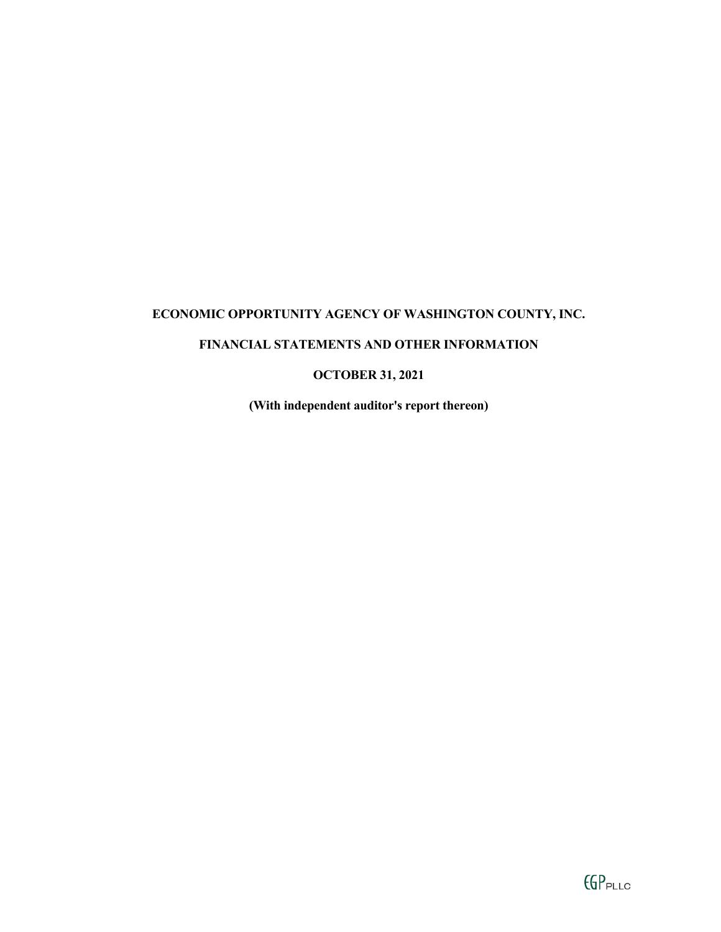## **ECONOMIC OPPORTUNITY AGENCY OF WASHINGTON COUNTY, INC.**

## **FINANCIAL STATEMENTS AND OTHER INFORMATION**

## **OCTOBER 31, 2021**

**(With independent auditor's report thereon)**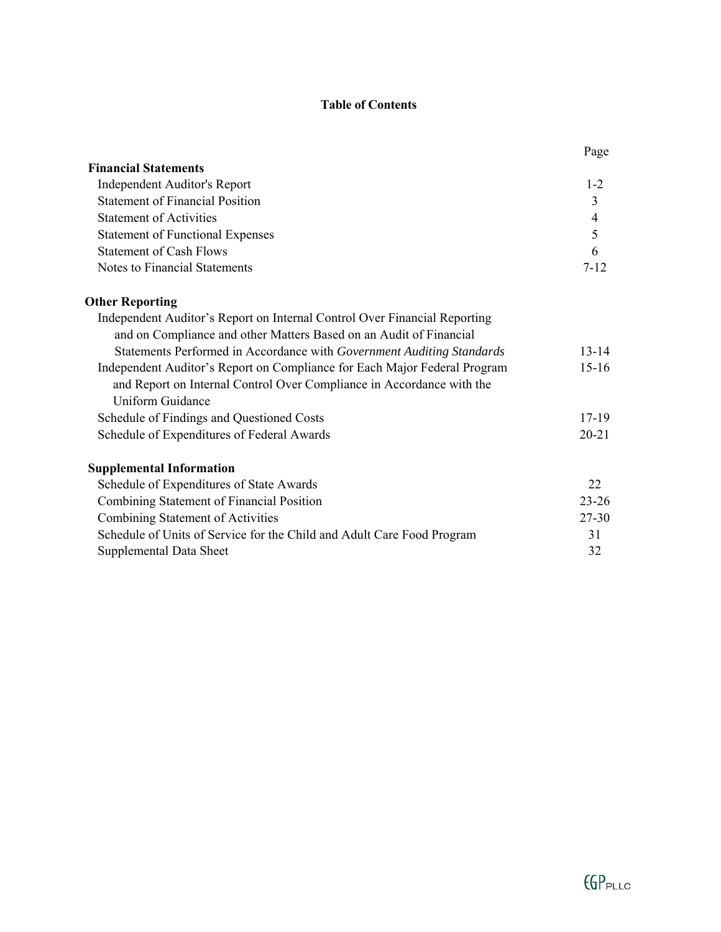## **Table of Contents**

| <b>Financial Statements</b>                                               |           |
|---------------------------------------------------------------------------|-----------|
| Independent Auditor's Report                                              | $1 - 2$   |
| <b>Statement of Financial Position</b>                                    | 3         |
| <b>Statement of Activities</b>                                            | 4         |
| <b>Statement of Functional Expenses</b>                                   | 5         |
| <b>Statement of Cash Flows</b>                                            | 6         |
| Notes to Financial Statements                                             | $7 - 12$  |
| <b>Other Reporting</b>                                                    |           |
| Independent Auditor's Report on Internal Control Over Financial Reporting |           |
| and on Compliance and other Matters Based on an Audit of Financial        |           |
| Statements Performed in Accordance with Government Auditing Standards     | $13 - 14$ |
| Independent Auditor's Report on Compliance for Each Major Federal Program | $15 - 16$ |
| and Report on Internal Control Over Compliance in Accordance with the     |           |
| <b>Uniform Guidance</b>                                                   |           |
| Schedule of Findings and Questioned Costs                                 | $17-19$   |
| Schedule of Expenditures of Federal Awards                                | $20 - 21$ |
| <b>Supplemental Information</b>                                           |           |
| Schedule of Expenditures of State Awards                                  | 22        |
| Combining Statement of Financial Position                                 | $23 - 26$ |
| Combining Statement of Activities                                         | 27-30     |
| Schedule of Units of Service for the Child and Adult Care Food Program    | 31        |
| Supplemental Data Sheet                                                   | 32        |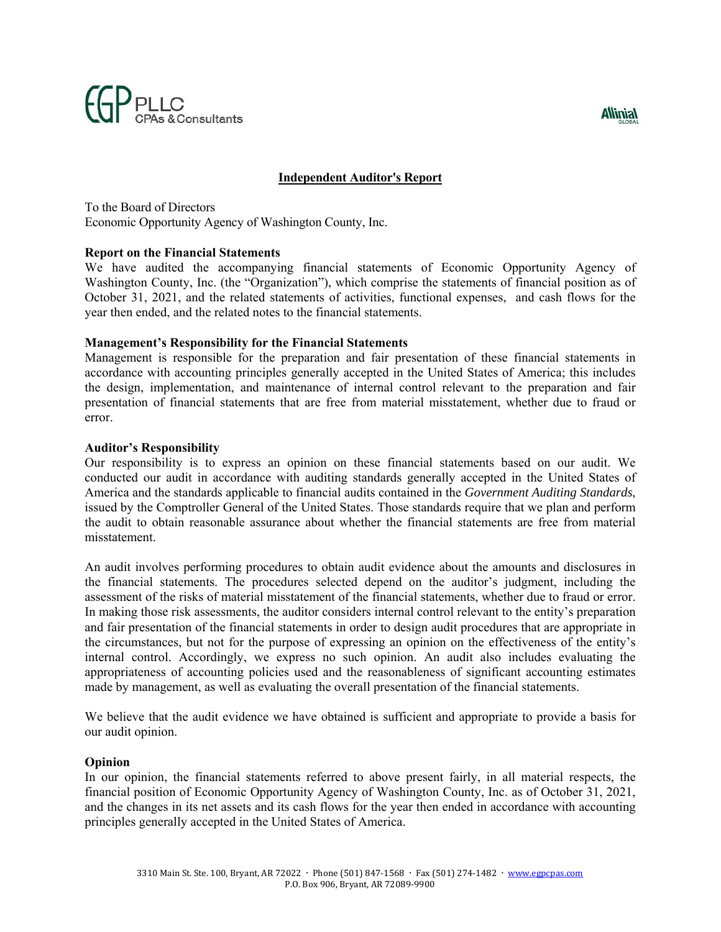



## **Independent Auditor's Report**

To the Board of Directors Economic Opportunity Agency of Washington County, Inc.

#### **Report on the Financial Statements**

We have audited the accompanying financial statements of Economic Opportunity Agency of Washington County, Inc. (the "Organization"), which comprise the statements of financial position as of October 31, 2021, and the related statements of activities, functional expenses, and cash flows for the year then ended, and the related notes to the financial statements.

#### **Management's Responsibility for the Financial Statements**

Management is responsible for the preparation and fair presentation of these financial statements in accordance with accounting principles generally accepted in the United States of America; this includes the design, implementation, and maintenance of internal control relevant to the preparation and fair presentation of financial statements that are free from material misstatement, whether due to fraud or error.

#### **Auditor's Responsibility**

Our responsibility is to express an opinion on these financial statements based on our audit. We conducted our audit in accordance with auditing standards generally accepted in the United States of America and the standards applicable to financial audits contained in the *Government Auditing Standards*, issued by the Comptroller General of the United States. Those standards require that we plan and perform the audit to obtain reasonable assurance about whether the financial statements are free from material misstatement.

An audit involves performing procedures to obtain audit evidence about the amounts and disclosures in the financial statements. The procedures selected depend on the auditor's judgment, including the assessment of the risks of material misstatement of the financial statements, whether due to fraud or error. In making those risk assessments, the auditor considers internal control relevant to the entity's preparation and fair presentation of the financial statements in order to design audit procedures that are appropriate in the circumstances, but not for the purpose of expressing an opinion on the effectiveness of the entity's internal control. Accordingly, we express no such opinion. An audit also includes evaluating the appropriateness of accounting policies used and the reasonableness of significant accounting estimates made by management, as well as evaluating the overall presentation of the financial statements.

We believe that the audit evidence we have obtained is sufficient and appropriate to provide a basis for our audit opinion.

#### **Opinion**

In our opinion, the financial statements referred to above present fairly, in all material respects, the financial position of Economic Opportunity Agency of Washington County, Inc. as of October 31, 2021, and the changes in its net assets and its cash flows for the year then ended in accordance with accounting principles generally accepted in the United States of America.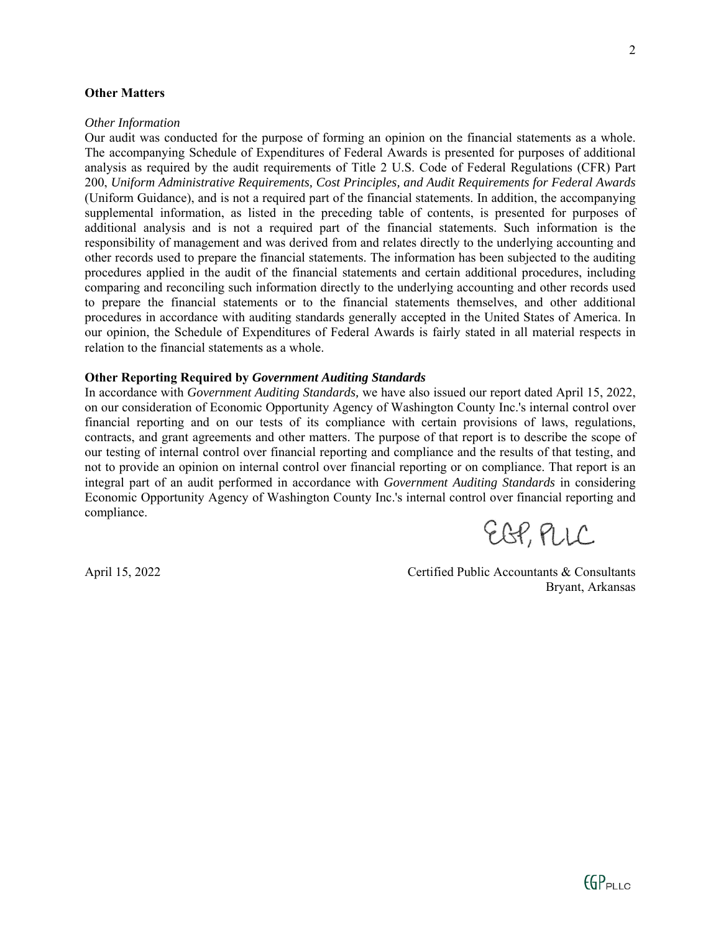#### **Other Matters**

#### *Other Information*

Our audit was conducted for the purpose of forming an opinion on the financial statements as a whole. The accompanying Schedule of Expenditures of Federal Awards is presented for purposes of additional analysis as required by the audit requirements of Title 2 U.S. Code of Federal Regulations (CFR) Part 200, *Uniform Administrative Requirements, Cost Principles, and Audit Requirements for Federal Awards*  (Uniform Guidance), and is not a required part of the financial statements. In addition, the accompanying supplemental information, as listed in the preceding table of contents, is presented for purposes of additional analysis and is not a required part of the financial statements. Such information is the responsibility of management and was derived from and relates directly to the underlying accounting and other records used to prepare the financial statements. The information has been subjected to the auditing procedures applied in the audit of the financial statements and certain additional procedures, including comparing and reconciling such information directly to the underlying accounting and other records used to prepare the financial statements or to the financial statements themselves, and other additional procedures in accordance with auditing standards generally accepted in the United States of America. In our opinion, the Schedule of Expenditures of Federal Awards is fairly stated in all material respects in relation to the financial statements as a whole.

#### **Other Reporting Required by** *Government Auditing Standards*

In accordance with *Government Auditing Standards,* we have also issued our report dated April 15, 2022, on our consideration of Economic Opportunity Agency of Washington County Inc.'s internal control over financial reporting and on our tests of its compliance with certain provisions of laws, regulations, contracts, and grant agreements and other matters. The purpose of that report is to describe the scope of our testing of internal control over financial reporting and compliance and the results of that testing, and not to provide an opinion on internal control over financial reporting or on compliance. That report is an integral part of an audit performed in accordance with *Government Auditing Standards* in considering Economic Opportunity Agency of Washington County Inc.'s internal control over financial reporting and compliance.

EGP, PLIC

April 15, 2022 Certified Public Accountants & Consultants Bryant, Arkansas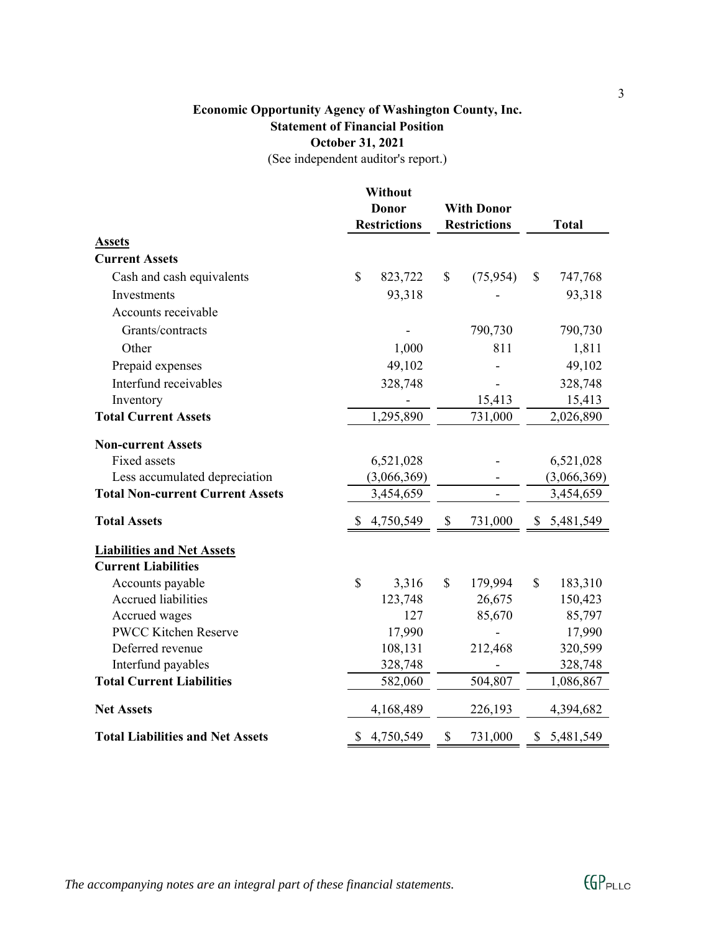# **Economic Opportunity Agency of Washington County, Inc. Statement of Financial Position October 31, 2021**

|                                         |    | Without<br><b>Donor</b> |              | <b>With Donor</b>   |              |              |
|-----------------------------------------|----|-------------------------|--------------|---------------------|--------------|--------------|
|                                         |    | <b>Restrictions</b>     |              | <b>Restrictions</b> |              | <b>Total</b> |
| <b>Assets</b>                           |    |                         |              |                     |              |              |
| <b>Current Assets</b>                   |    |                         |              |                     |              |              |
| Cash and cash equivalents               | \$ | 823,722                 | $\mathbb{S}$ | (75, 954)           | $\mathbb{S}$ | 747,768      |
| Investments                             |    | 93,318                  |              |                     |              | 93,318       |
| Accounts receivable                     |    |                         |              |                     |              |              |
| Grants/contracts                        |    |                         |              | 790,730             |              | 790,730      |
| Other                                   |    | 1,000                   |              | 811                 |              | 1,811        |
| Prepaid expenses                        |    | 49,102                  |              |                     |              | 49,102       |
| Interfund receivables                   |    | 328,748                 |              |                     |              | 328,748      |
| Inventory                               |    |                         |              | 15,413              |              | 15,413       |
| <b>Total Current Assets</b>             |    | 1,295,890               |              | 731,000             |              | 2,026,890    |
| <b>Non-current Assets</b>               |    |                         |              |                     |              |              |
| <b>Fixed assets</b>                     |    | 6,521,028               |              |                     |              | 6,521,028    |
| Less accumulated depreciation           |    | (3,066,369)             |              |                     |              | (3,066,369)  |
| <b>Total Non-current Current Assets</b> |    | 3,454,659               |              |                     |              | 3,454,659    |
| <b>Total Assets</b>                     | S. | 4,750,549               | \$           | 731,000             | S            | 5,481,549    |
| <b>Liabilities and Net Assets</b>       |    |                         |              |                     |              |              |
| <b>Current Liabilities</b>              |    |                         |              |                     |              |              |
| Accounts payable                        | \$ | 3,316                   | \$           | 179,994             | $\mathbb{S}$ | 183,310      |
| <b>Accrued liabilities</b>              |    | 123,748                 |              | 26,675              |              | 150,423      |
| Accrued wages                           |    | 127                     |              | 85,670              |              | 85,797       |
| <b>PWCC Kitchen Reserve</b>             |    | 17,990                  |              |                     |              | 17,990       |
| Deferred revenue                        |    | 108,131                 |              | 212,468             |              | 320,599      |
| Interfund payables                      |    | 328,748                 |              |                     |              | 328,748      |
| <b>Total Current Liabilities</b>        |    | 582,060                 |              | 504,807             |              | 1,086,867    |
| <b>Net Assets</b>                       |    | 4,168,489               |              | 226,193             |              | 4,394,682    |
| <b>Total Liabilities and Net Assets</b> |    | \$4,750,549             | \$           | 731,000             | \$           | 5,481,549    |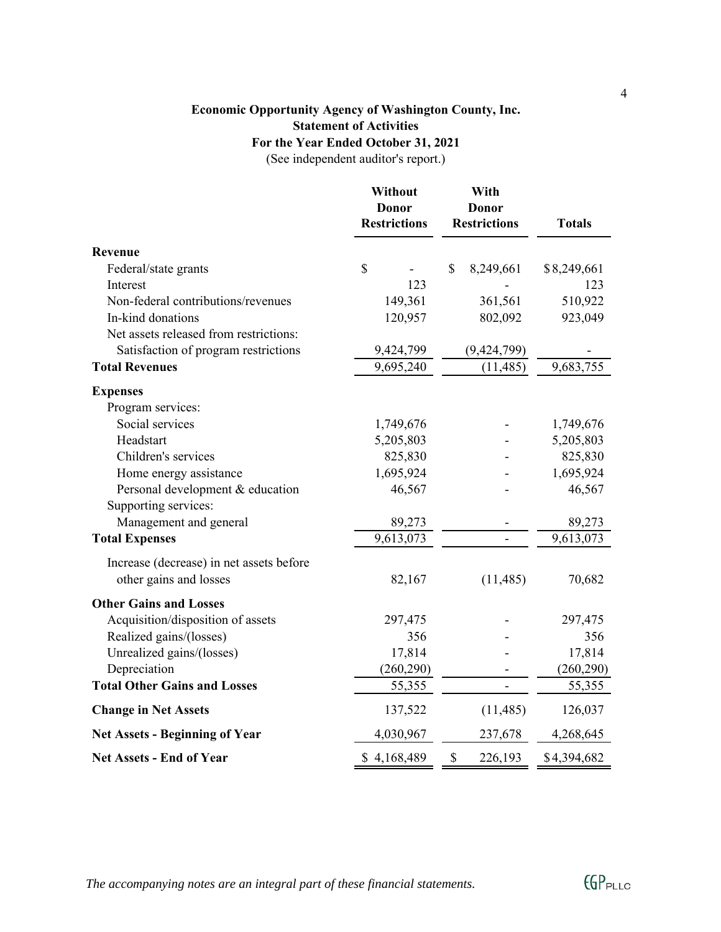# **For the Year Ended October 31, 2021 Statement of Activities Economic Opportunity Agency of Washington County, Inc.**

|                                          | Without<br>Donor<br><b>Restrictions</b> | With<br><b>Donor</b><br><b>Restrictions</b> | <b>Totals</b> |  |
|------------------------------------------|-----------------------------------------|---------------------------------------------|---------------|--|
| Revenue                                  |                                         |                                             |               |  |
| Federal/state grants                     | \$                                      | \$<br>8,249,661                             | \$8,249,661   |  |
| Interest                                 | 123                                     |                                             | 123           |  |
| Non-federal contributions/revenues       | 149,361                                 | 361,561                                     | 510,922       |  |
| In-kind donations                        | 120,957                                 | 802,092                                     | 923,049       |  |
| Net assets released from restrictions:   |                                         |                                             |               |  |
| Satisfaction of program restrictions     | 9,424,799                               | (9, 424, 799)                               |               |  |
| <b>Total Revenues</b>                    | 9,695,240                               | (11, 485)                                   | 9,683,755     |  |
| <b>Expenses</b>                          |                                         |                                             |               |  |
| Program services:                        |                                         |                                             |               |  |
| Social services                          | 1,749,676                               |                                             | 1,749,676     |  |
| Headstart                                | 5,205,803                               |                                             | 5,205,803     |  |
| Children's services                      | 825,830                                 |                                             | 825,830       |  |
| Home energy assistance                   | 1,695,924                               |                                             | 1,695,924     |  |
| Personal development & education         | 46,567                                  |                                             | 46,567        |  |
| Supporting services:                     |                                         |                                             |               |  |
| Management and general                   | 89,273                                  |                                             | 89,273        |  |
| <b>Total Expenses</b>                    | 9,613,073                               | $\overline{a}$                              | 9,613,073     |  |
| Increase (decrease) in net assets before |                                         |                                             |               |  |
| other gains and losses                   | 82,167                                  | (11, 485)                                   | 70,682        |  |
| <b>Other Gains and Losses</b>            |                                         |                                             |               |  |
| Acquisition/disposition of assets        | 297,475                                 |                                             | 297,475       |  |
| Realized gains/(losses)                  | 356                                     |                                             | 356           |  |
| Unrealized gains/(losses)                | 17,814                                  |                                             | 17,814        |  |
| Depreciation                             | (260, 290)                              |                                             | (260, 290)    |  |
| <b>Total Other Gains and Losses</b>      | 55,355                                  | $\overline{\phantom{a}}$                    | 55,355        |  |
| <b>Change in Net Assets</b>              | 137,522                                 | (11, 485)                                   | 126,037       |  |
| <b>Net Assets - Beginning of Year</b>    | 4,030,967                               | 237,678                                     | 4,268,645     |  |
| <b>Net Assets - End of Year</b>          | \$4,168,489                             | \$<br>226,193                               | \$4,394,682   |  |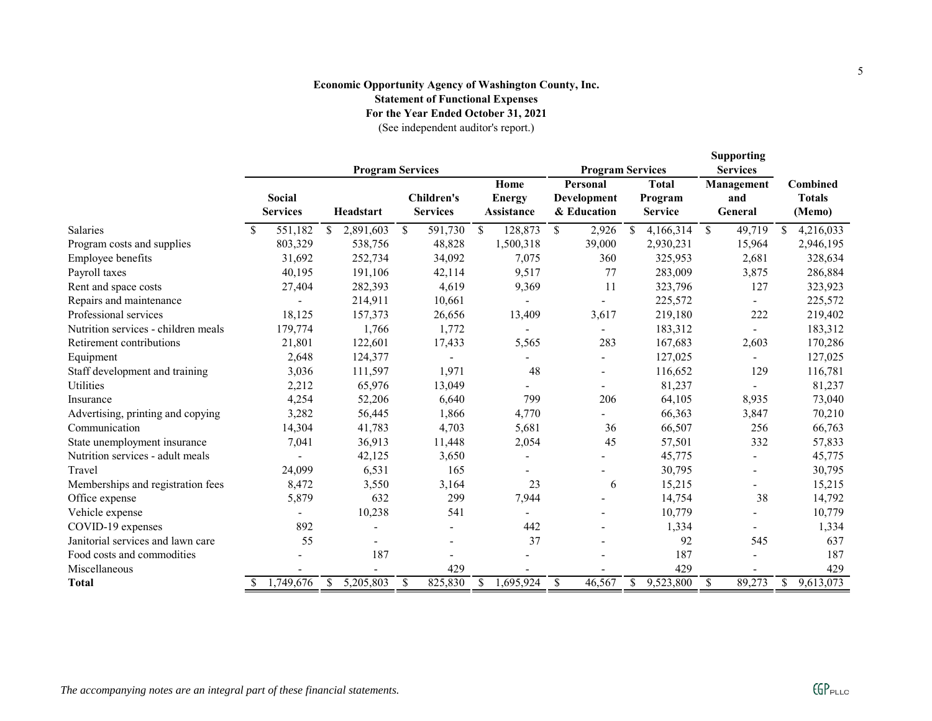### **Economic Opportunity Agency of Washington County, Inc. Statement of Functional Expenses For the Year Ended October 31, 2021** (See independent auditor's report.)

|                                     |                           |                 | <b>Program Services</b> |                            |                       | <b>Program Services</b>    | <b>Supporting</b><br><b>Services</b> |                            |
|-------------------------------------|---------------------------|-----------------|-------------------------|----------------------------|-----------------------|----------------------------|--------------------------------------|----------------------------|
|                                     |                           |                 |                         | Home                       | Personal              | <b>Total</b>               | Management                           | <b>Combined</b>            |
|                                     | <b>Social</b>             |                 | <b>Children's</b>       | <b>Energy</b>              | <b>Development</b>    | Program                    | and                                  | <b>Totals</b>              |
|                                     | <b>Services</b>           | Headstart       | <b>Services</b>         | Assistance                 | & Education           | <b>Service</b>             | General                              | (Memo)                     |
| Salaries                            | 551,182<br>-S             | 2,891,603<br>\$ | $\mathbb{S}$<br>591,730 | $\mathbb{S}$<br>128,873    | $\mathbb{S}$<br>2,926 | 4,166,314<br><sup>\$</sup> | $\mathbb{S}$<br>49,719               | 4,216,033<br><sup>\$</sup> |
| Program costs and supplies          | 803,329                   | 538,756         | 48,828                  | 1,500,318                  | 39,000                | 2,930,231                  | 15,964                               | 2,946,195                  |
| Employee benefits                   | 31,692                    | 252,734         | 34,092                  | 7,075                      | 360                   | 325,953                    | 2,681                                | 328,634                    |
| Payroll taxes                       | 40,195                    | 191,106         | 42,114                  | 9,517                      | 77                    | 283,009                    | 3,875                                | 286,884                    |
| Rent and space costs                | 27,404                    | 282,393         | 4,619                   | 9,369                      | 11                    | 323,796                    | 127                                  | 323,923                    |
| Repairs and maintenance             |                           | 214,911         | 10,661                  | $\blacksquare$             |                       | 225,572                    |                                      | 225,572                    |
| Professional services               | 18,125                    | 157,373         | 26,656                  | 13,409                     | 3,617                 | 219,180                    | 222                                  | 219,402                    |
| Nutrition services - children meals | 179,774                   | 1,766           | 1,772                   |                            | $\blacksquare$        | 183,312                    |                                      | 183,312                    |
| Retirement contributions            | 21,801                    | 122,601         | 17,433                  | 5,565                      | 283                   | 167,683                    | 2,603                                | 170,286                    |
| Equipment                           | 2,648                     | 124,377         |                         |                            |                       | 127,025                    |                                      | 127,025                    |
| Staff development and training      | 3,036                     | 111,597         | 1,971                   | 48                         | $\blacksquare$        | 116,652                    | 129                                  | 116,781                    |
| Utilities                           | 2,212                     | 65,976          | 13,049                  |                            | $\blacksquare$        | 81,237                     |                                      | 81,237                     |
| Insurance                           | 4,254                     | 52,206          | 6,640                   | 799                        | 206                   | 64,105                     | 8,935                                | 73,040                     |
| Advertising, printing and copying   | 3,282                     | 56,445          | 1,866                   | 4,770                      |                       | 66,363                     | 3,847                                | 70,210                     |
| Communication                       | 14,304                    | 41,783          | 4,703                   | 5,681                      | 36                    | 66,507                     | 256                                  | 66,763                     |
| State unemployment insurance        | 7,041                     | 36,913          | 11,448                  | 2,054                      | 45                    | 57,501                     | 332                                  | 57,833                     |
| Nutrition services - adult meals    | $\blacksquare$            | 42,125          | 3,650                   | $\blacksquare$             |                       | 45,775                     | $\frac{1}{2}$                        | 45,775                     |
| Travel                              | 24,099                    | 6,531           | 165                     |                            | $\blacksquare$        | 30,795                     |                                      | 30,795                     |
| Memberships and registration fees   | 8,472                     | 3,550           | 3,164                   | 23                         | 6                     | 15,215                     |                                      | 15,215                     |
| Office expense                      | 5,879                     | 632             | 299                     | 7,944                      |                       | 14,754                     | 38                                   | 14,792                     |
| Vehicle expense                     |                           | 10,238          | 541                     |                            |                       | 10,779                     |                                      | 10,779                     |
| COVID-19 expenses                   | 892                       |                 |                         | 442                        |                       | 1,334                      |                                      | 1,334                      |
| Janitorial services and lawn care   | 55                        |                 |                         | 37                         |                       | 92                         | 545                                  | 637                        |
| Food costs and commodities          |                           | 187             |                         |                            |                       | 187                        |                                      | 187                        |
| Miscellaneous                       |                           |                 | 429                     |                            |                       | 429                        |                                      | 429                        |
| <b>Total</b>                        | 1,749,676<br><sup>S</sup> | 5,205,803<br>S. | \$<br>825,830           | 1,695,924<br><sup>\$</sup> | \$<br>46,567          | $\mathbb{S}$<br>9,523,800  | \$<br>89,273                         | 9,613,073<br>\$            |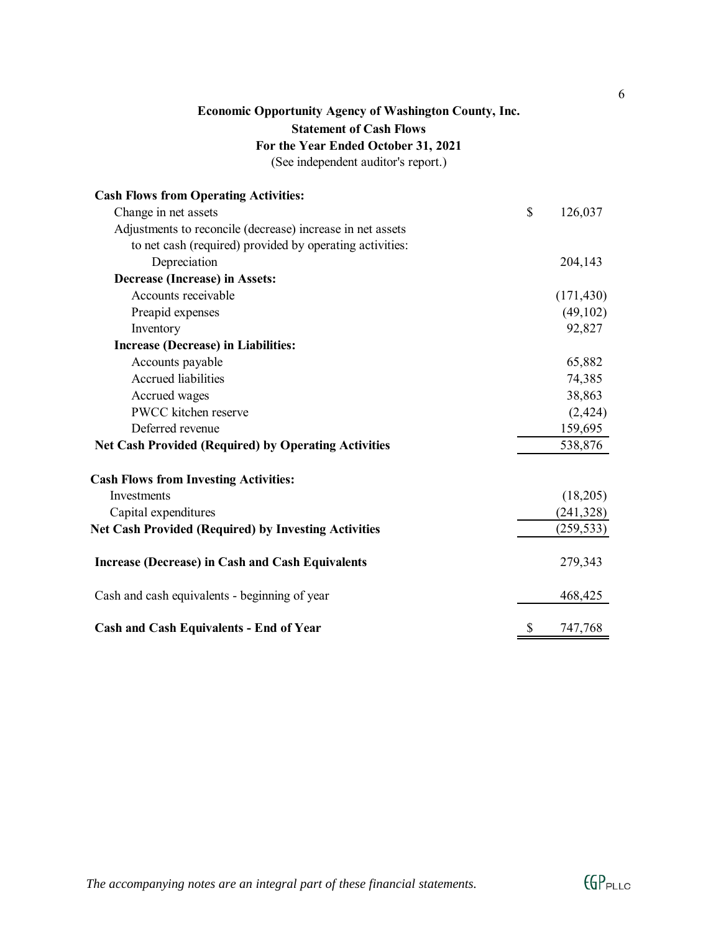| <b>Statement of Cash Flows</b>                              |               |
|-------------------------------------------------------------|---------------|
| For the Year Ended October 31, 2021                         |               |
| (See independent auditor's report.)                         |               |
| <b>Cash Flows from Operating Activities:</b>                |               |
| Change in net assets                                        | \$<br>126,037 |
| Adjustments to reconcile (decrease) increase in net assets  |               |
| to net cash (required) provided by operating activities:    |               |
| Depreciation                                                | 204,143       |
| <b>Decrease (Increase) in Assets:</b>                       |               |
| Accounts receivable                                         | (171, 430)    |
| Preapid expenses                                            | (49,102)      |
| Inventory                                                   | 92,827        |
| <b>Increase (Decrease) in Liabilities:</b>                  |               |
| Accounts payable                                            | 65,882        |
| <b>Accrued liabilities</b>                                  | 74,385        |
| Accrued wages                                               | 38,863        |
| PWCC kitchen reserve                                        | (2, 424)      |
| Deferred revenue                                            | 159,695       |
| <b>Net Cash Provided (Required) by Operating Activities</b> | 538,876       |
| <b>Cash Flows from Investing Activities:</b>                |               |
| Investments                                                 | (18,205)      |
| Capital expenditures                                        | (241, 328)    |
| <b>Net Cash Provided (Required) by Investing Activities</b> | (259, 533)    |
| <b>Increase (Decrease) in Cash and Cash Equivalents</b>     | 279,343       |
| Cash and cash equivalents - beginning of year               | 468,425       |
| <b>Cash and Cash Equivalents - End of Year</b>              | \$<br>747,768 |

**Economic Opportunity Agency of Washington County, Inc.**

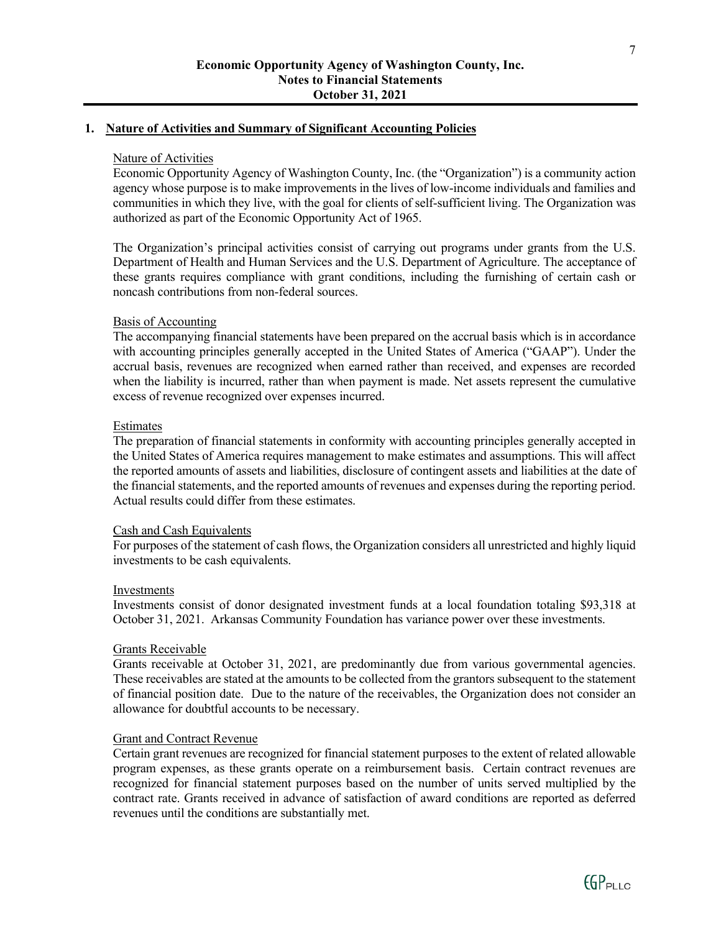#### **1. Nature of Activities and Summary of Significant Accounting Policies**

### Nature of Activities

Economic Opportunity Agency of Washington County, Inc. (the "Organization") is a community action agency whose purpose is to make improvements in the lives of low-income individuals and families and communities in which they live, with the goal for clients of self-sufficient living. The Organization was authorized as part of the Economic Opportunity Act of 1965.

The Organization's principal activities consist of carrying out programs under grants from the U.S. Department of Health and Human Services and the U.S. Department of Agriculture. The acceptance of these grants requires compliance with grant conditions, including the furnishing of certain cash or noncash contributions from non-federal sources.

#### Basis of Accounting

 The accompanying financial statements have been prepared on the accrual basis which is in accordance with accounting principles generally accepted in the United States of America ("GAAP"). Under the accrual basis, revenues are recognized when earned rather than received, and expenses are recorded when the liability is incurred, rather than when payment is made. Net assets represent the cumulative excess of revenue recognized over expenses incurred.

#### Estimates

 The preparation of financial statements in conformity with accounting principles generally accepted in the United States of America requires management to make estimates and assumptions. This will affect the reported amounts of assets and liabilities, disclosure of contingent assets and liabilities at the date of the financial statements, and the reported amounts of revenues and expenses during the reporting period. Actual results could differ from these estimates.

#### Cash and Cash Equivalents

For purposes of the statement of cash flows, the Organization considers all unrestricted and highly liquid investments to be cash equivalents.

#### Investments

 Investments consist of donor designated investment funds at a local foundation totaling \$93,318 at October 31, 2021. Arkansas Community Foundation has variance power over these investments.

#### Grants Receivable

 Grants receivable at October 31, 2021, are predominantly due from various governmental agencies. These receivables are stated at the amounts to be collected from the grantors subsequent to the statement of financial position date. Due to the nature of the receivables, the Organization does not consider an allowance for doubtful accounts to be necessary.

#### Grant and Contract Revenue

 Certain grant revenues are recognized for financial statement purposes to the extent of related allowable program expenses, as these grants operate on a reimbursement basis. Certain contract revenues are recognized for financial statement purposes based on the number of units served multiplied by the contract rate. Grants received in advance of satisfaction of award conditions are reported as deferred revenues until the conditions are substantially met.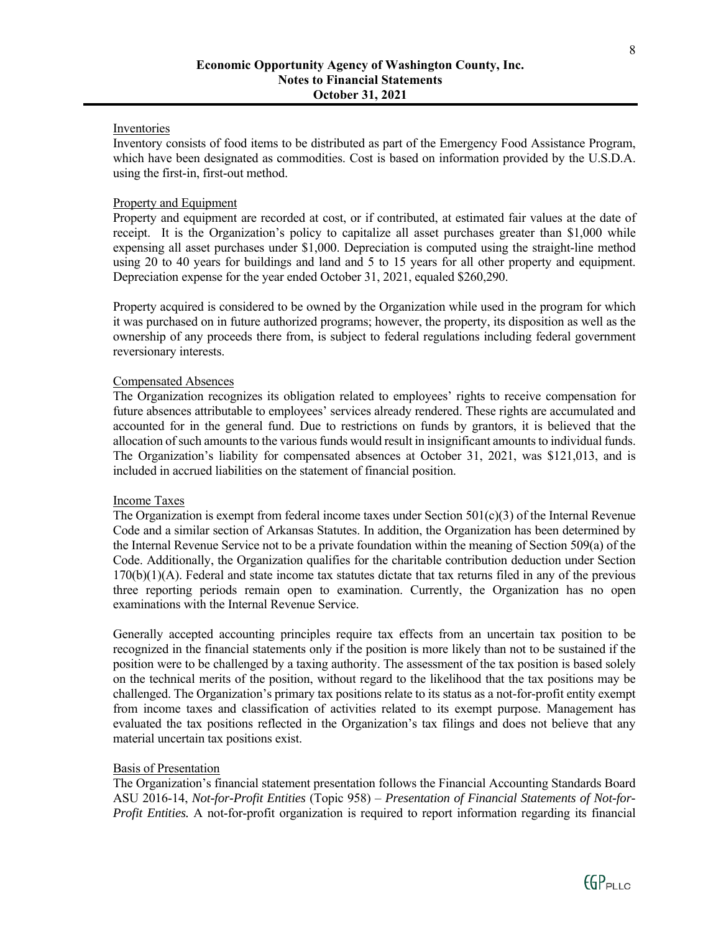#### **Inventories**

 Inventory consists of food items to be distributed as part of the Emergency Food Assistance Program, which have been designated as commodities. Cost is based on information provided by the U.S.D.A. using the first-in, first-out method.

#### Property and Equipment

 Property and equipment are recorded at cost, or if contributed, at estimated fair values at the date of receipt. It is the Organization's policy to capitalize all asset purchases greater than \$1,000 while expensing all asset purchases under \$1,000. Depreciation is computed using the straight-line method using 20 to 40 years for buildings and land and 5 to 15 years for all other property and equipment. Depreciation expense for the year ended October 31, 2021, equaled \$260,290.

 Property acquired is considered to be owned by the Organization while used in the program for which it was purchased on in future authorized programs; however, the property, its disposition as well as the ownership of any proceeds there from, is subject to federal regulations including federal government reversionary interests.

#### Compensated Absences

 The Organization recognizes its obligation related to employees' rights to receive compensation for future absences attributable to employees' services already rendered. These rights are accumulated and accounted for in the general fund. Due to restrictions on funds by grantors, it is believed that the allocation of such amounts to the various funds would result in insignificant amounts to individual funds. The Organization's liability for compensated absences at October 31, 2021, was \$121,013, and is included in accrued liabilities on the statement of financial position.

#### Income Taxes

The Organization is exempt from federal income taxes under Section  $501(c)(3)$  of the Internal Revenue Code and a similar section of Arkansas Statutes. In addition, the Organization has been determined by the Internal Revenue Service not to be a private foundation within the meaning of Section 509(a) of the Code. Additionally, the Organization qualifies for the charitable contribution deduction under Section  $170(b)(1)(A)$ . Federal and state income tax statutes dictate that tax returns filed in any of the previous three reporting periods remain open to examination. Currently, the Organization has no open examinations with the Internal Revenue Service.

 Generally accepted accounting principles require tax effects from an uncertain tax position to be recognized in the financial statements only if the position is more likely than not to be sustained if the position were to be challenged by a taxing authority. The assessment of the tax position is based solely on the technical merits of the position, without regard to the likelihood that the tax positions may be challenged. The Organization's primary tax positions relate to its status as a not-for-profit entity exempt from income taxes and classification of activities related to its exempt purpose. Management has evaluated the tax positions reflected in the Organization's tax filings and does not believe that any material uncertain tax positions exist.

#### Basis of Presentation

 The Organization's financial statement presentation follows the Financial Accounting Standards Board ASU 2016-14, *Not-for-Profit Entities* (Topic 958) – *Presentation of Financial Statements of Not-for-Profit Entities.* A not-for-profit organization is required to report information regarding its financial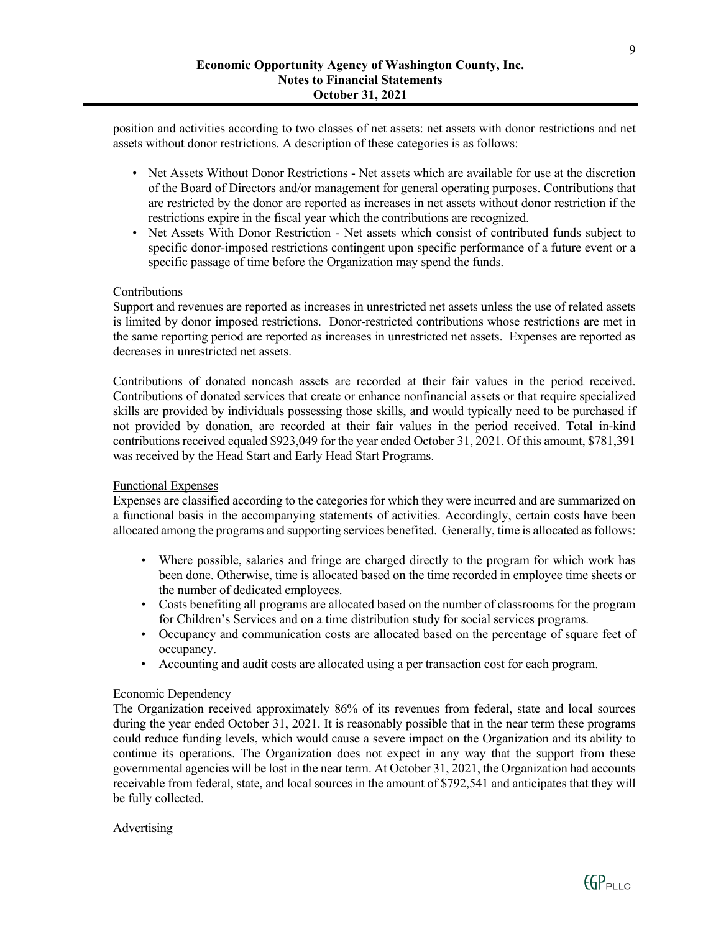position and activities according to two classes of net assets: net assets with donor restrictions and net assets without donor restrictions. A description of these categories is as follows:

- Net Assets Without Donor Restrictions Net assets which are available for use at the discretion of the Board of Directors and/or management for general operating purposes. Contributions that are restricted by the donor are reported as increases in net assets without donor restriction if the restrictions expire in the fiscal year which the contributions are recognized.
- Net Assets With Donor Restriction Net assets which consist of contributed funds subject to specific donor-imposed restrictions contingent upon specific performance of a future event or a specific passage of time before the Organization may spend the funds.

#### Contributions

 Support and revenues are reported as increases in unrestricted net assets unless the use of related assets is limited by donor imposed restrictions. Donor-restricted contributions whose restrictions are met in the same reporting period are reported as increases in unrestricted net assets. Expenses are reported as decreases in unrestricted net assets.

 Contributions of donated noncash assets are recorded at their fair values in the period received. Contributions of donated services that create or enhance nonfinancial assets or that require specialized skills are provided by individuals possessing those skills, and would typically need to be purchased if not provided by donation, are recorded at their fair values in the period received. Total in-kind contributions received equaled \$923,049 for the year ended October 31, 2021. Of this amount, \$781,391 was received by the Head Start and Early Head Start Programs.

#### Functional Expenses

 Expenses are classified according to the categories for which they were incurred and are summarized on a functional basis in the accompanying statements of activities. Accordingly, certain costs have been allocated among the programs and supporting services benefited. Generally, time is allocated as follows:

- Where possible, salaries and fringe are charged directly to the program for which work has been done. Otherwise, time is allocated based on the time recorded in employee time sheets or the number of dedicated employees.
- Costs benefiting all programs are allocated based on the number of classrooms for the program for Children's Services and on a time distribution study for social services programs.
- Occupancy and communication costs are allocated based on the percentage of square feet of occupancy.
- Accounting and audit costs are allocated using a per transaction cost for each program.

### Economic Dependency

 The Organization received approximately 86% of its revenues from federal, state and local sources during the year ended October 31, 2021. It is reasonably possible that in the near term these programs could reduce funding levels, which would cause a severe impact on the Organization and its ability to continue its operations. The Organization does not expect in any way that the support from these governmental agencies will be lost in the near term. At October 31, 2021, the Organization had accounts receivable from federal, state, and local sources in the amount of \$792,541 and anticipates that they will be fully collected.

### **Advertising**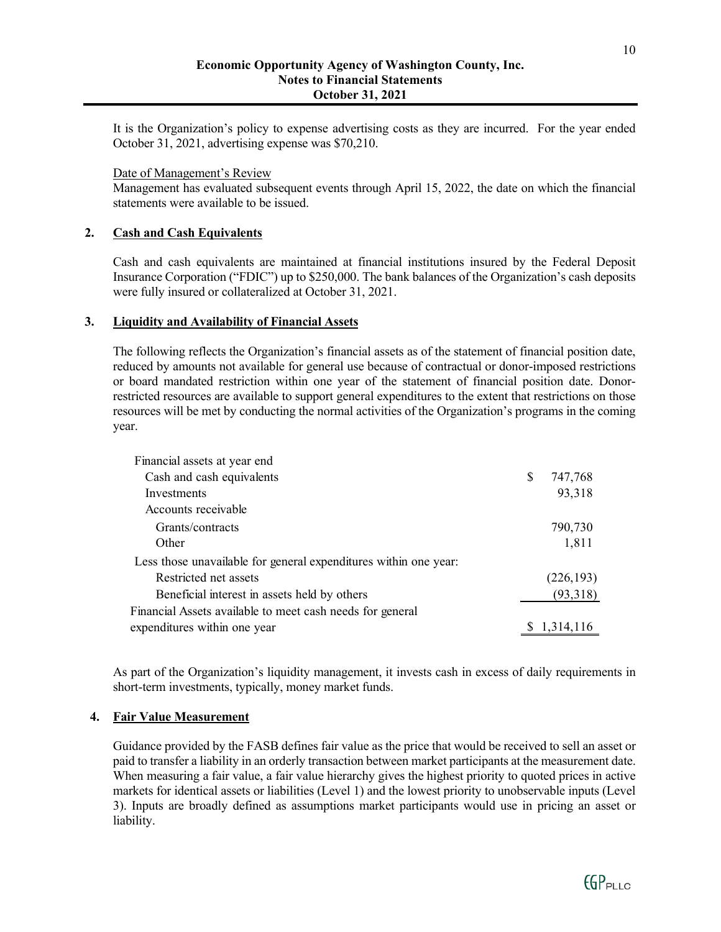It is the Organization's policy to expense advertising costs as they are incurred. For the year ended October 31, 2021, advertising expense was \$70,210.

#### Date of Management's Review

 Management has evaluated subsequent events through April 15, 2022, the date on which the financial statements were available to be issued.

### **2. Cash and Cash Equivalents**

 Cash and cash equivalents are maintained at financial institutions insured by the Federal Deposit Insurance Corporation ("FDIC") up to \$250,000. The bank balances of the Organization's cash deposits were fully insured or collateralized at October 31, 2021.

### **3. Liquidity and Availability of Financial Assets**

 The following reflects the Organization's financial assets as of the statement of financial position date, reduced by amounts not available for general use because of contractual or donor-imposed restrictions or board mandated restriction within one year of the statement of financial position date. Donorrestricted resources are available to support general expenditures to the extent that restrictions on those resources will be met by conducting the normal activities of the Organization's programs in the coming year.

| Financial assets at year end                                     |   |            |
|------------------------------------------------------------------|---|------------|
| Cash and cash equivalents                                        | S | 747,768    |
| Investments                                                      |   | 93,318     |
| Accounts receivable                                              |   |            |
| Grants/contracts                                                 |   | 790,730    |
| Other                                                            |   | 1,811      |
| Less those unavailable for general expenditures within one year: |   |            |
| Restricted net assets                                            |   | (226, 193) |
| Beneficial interest in assets held by others                     |   | (93,318)   |
| Financial Assets available to meet cash needs for general        |   |            |
| expenditures within one year                                     |   | 1,314,116  |

 As part of the Organization's liquidity management, it invests cash in excess of daily requirements in short-term investments, typically, money market funds.

### **4. Fair Value Measurement**

 Guidance provided by the FASB defines fair value as the price that would be received to sell an asset or paid to transfer a liability in an orderly transaction between market participants at the measurement date. When measuring a fair value, a fair value hierarchy gives the highest priority to quoted prices in active markets for identical assets or liabilities (Level 1) and the lowest priority to unobservable inputs (Level 3). Inputs are broadly defined as assumptions market participants would use in pricing an asset or liability.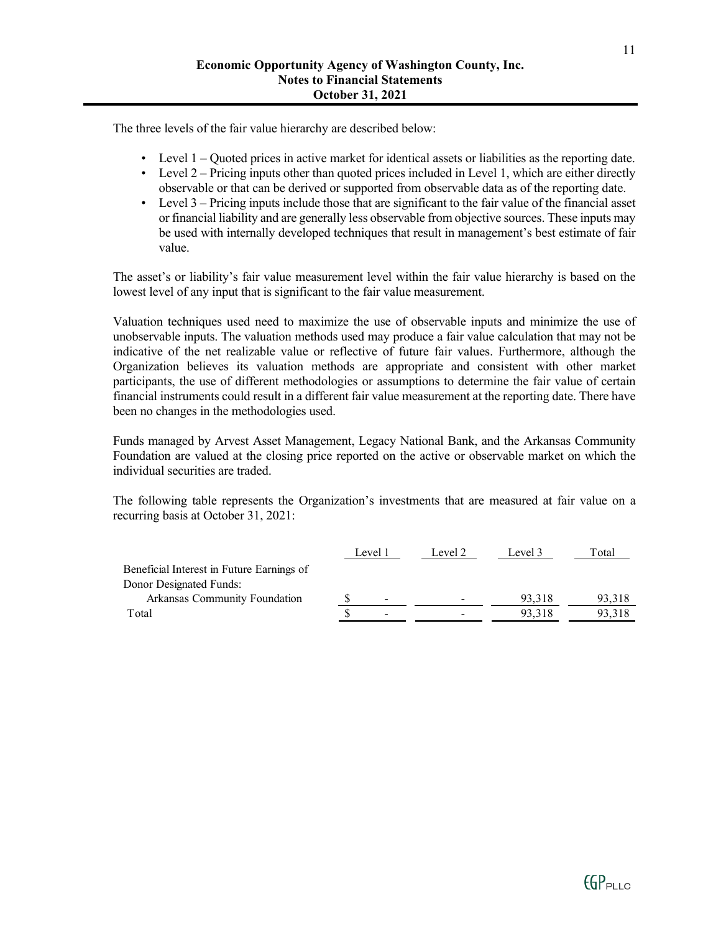The three levels of the fair value hierarchy are described below:

- Level 1 Quoted prices in active market for identical assets or liabilities as the reporting date.
- Level 2 Pricing inputs other than quoted prices included in Level 1, which are either directly observable or that can be derived or supported from observable data as of the reporting date.
- Level 3 Pricing inputs include those that are significant to the fair value of the financial asset or financial liability and are generally less observable from objective sources. These inputs may be used with internally developed techniques that result in management's best estimate of fair value.

 The asset's or liability's fair value measurement level within the fair value hierarchy is based on the lowest level of any input that is significant to the fair value measurement.

 Valuation techniques used need to maximize the use of observable inputs and minimize the use of unobservable inputs. The valuation methods used may produce a fair value calculation that may not be indicative of the net realizable value or reflective of future fair values. Furthermore, although the Organization believes its valuation methods are appropriate and consistent with other market participants, the use of different methodologies or assumptions to determine the fair value of certain financial instruments could result in a different fair value measurement at the reporting date. There have been no changes in the methodologies used.

 Funds managed by Arvest Asset Management, Legacy National Bank, and the Arkansas Community Foundation are valued at the closing price reported on the active or observable market on which the individual securities are traded.

 The following table represents the Organization's investments that are measured at fair value on a recurring basis at October 31, 2021:

|                                           | Level 1                  | Level 2 | Level 3 | Total  |
|-------------------------------------------|--------------------------|---------|---------|--------|
| Beneficial Interest in Future Earnings of |                          |         |         |        |
| Donor Designated Funds:                   |                          |         |         |        |
| Arkansas Community Foundation             | $\overline{\phantom{a}}$ |         | 93.318  | 93.318 |
| Total                                     | $\overline{\phantom{0}}$ |         | 93.318  | 93,318 |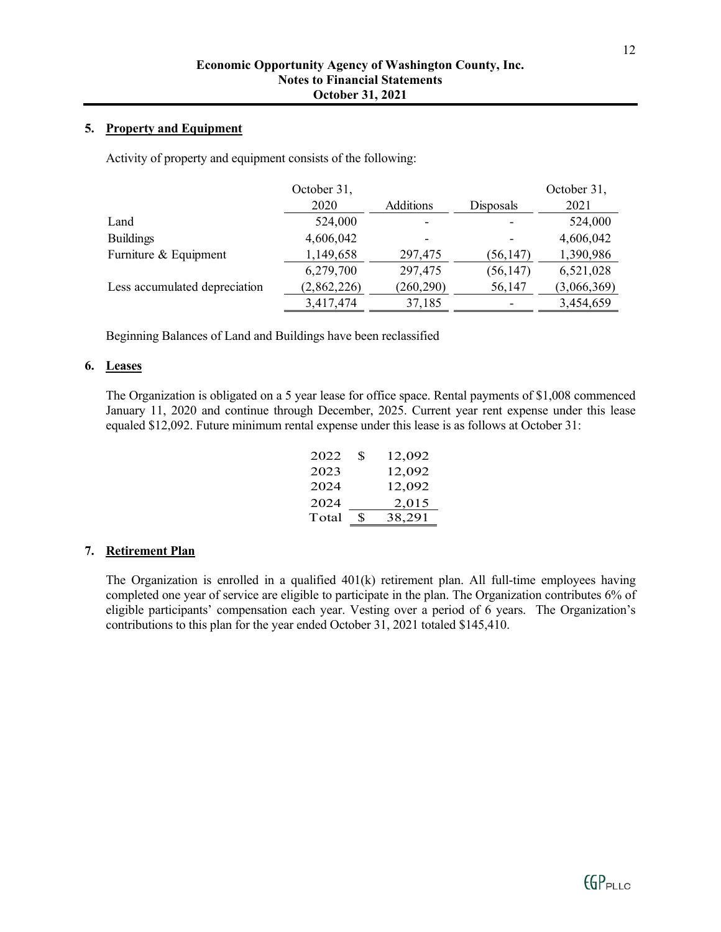#### **5. Property and Equipment**

Activity of property and equipment consists of the following:

|                               | October 31, |                  |           | October 31, |
|-------------------------------|-------------|------------------|-----------|-------------|
|                               | 2020        | <b>Additions</b> | Disposals | 2021        |
| Land                          | 524,000     |                  |           | 524,000     |
| <b>Buildings</b>              | 4,606,042   |                  |           | 4,606,042   |
| Furniture & Equipment         | 1,149,658   | 297,475          | (56, 147) | 1,390,986   |
|                               | 6,279,700   | 297,475          | (56, 147) | 6,521,028   |
| Less accumulated depreciation | (2,862,226) | (260, 290)       | 56,147    | (3,066,369) |
|                               | 3,417,474   | 37,185           |           | 3,454,659   |

Beginning Balances of Land and Buildings have been reclassified

#### **6. Leases**

 The Organization is obligated on a 5 year lease for office space. Rental payments of \$1,008 commenced January 11, 2020 and continue through December, 2025. Current year rent expense under this lease equaled \$12,092. Future minimum rental expense under this lease is as follows at October 31:

| 2022  | S  | 12.092 |
|-------|----|--------|
| 2023  |    | 12,092 |
| 2024  |    | 12,092 |
| 2024  |    | 2,015  |
| Total | \$ | 38,291 |

### **7. Retirement Plan**

 The Organization is enrolled in a qualified 401(k) retirement plan. All full-time employees having completed one year of service are eligible to participate in the plan. The Organization contributes 6% of eligible participants' compensation each year. Vesting over a period of 6 years. The Organization's contributions to this plan for the year ended October 31, 2021 totaled \$145,410.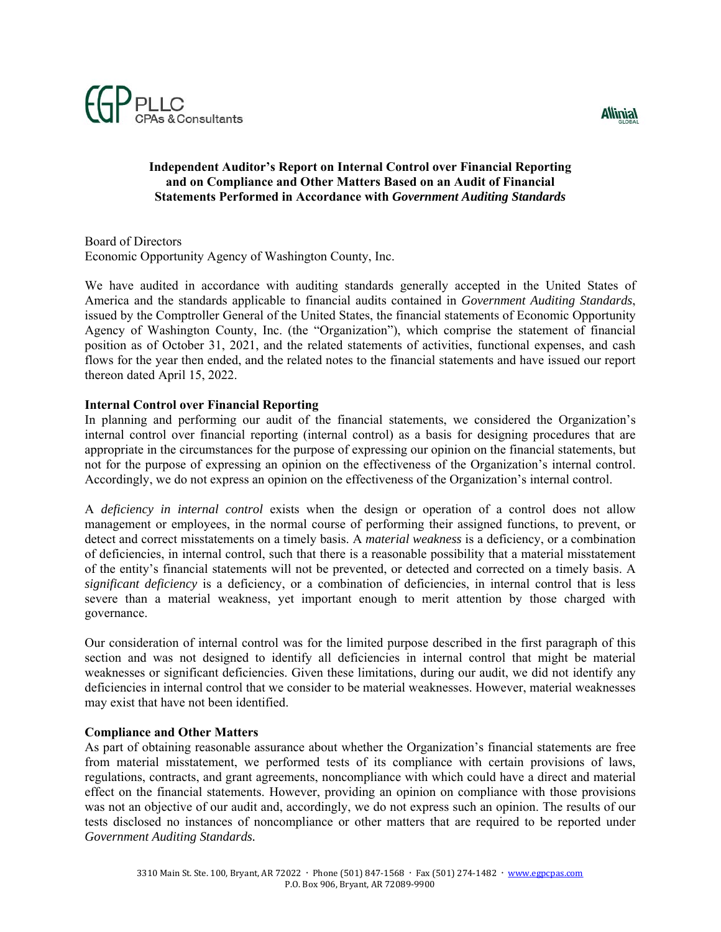



## **Independent Auditor's Report on Internal Control over Financial Reporting and on Compliance and Other Matters Based on an Audit of Financial Statements Performed in Accordance with** *Government Auditing Standards*

Board of Directors Economic Opportunity Agency of Washington County, Inc.

We have audited in accordance with auditing standards generally accepted in the United States of America and the standards applicable to financial audits contained in *Government Auditing Standards*, issued by the Comptroller General of the United States, the financial statements of Economic Opportunity Agency of Washington County, Inc. (the "Organization"), which comprise the statement of financial position as of October 31, 2021, and the related statements of activities, functional expenses, and cash flows for the year then ended, and the related notes to the financial statements and have issued our report thereon dated April 15, 2022.

### **Internal Control over Financial Reporting**

In planning and performing our audit of the financial statements, we considered the Organization's internal control over financial reporting (internal control) as a basis for designing procedures that are appropriate in the circumstances for the purpose of expressing our opinion on the financial statements, but not for the purpose of expressing an opinion on the effectiveness of the Organization's internal control. Accordingly, we do not express an opinion on the effectiveness of the Organization's internal control.

A *deficiency in internal control* exists when the design or operation of a control does not allow management or employees, in the normal course of performing their assigned functions, to prevent, or detect and correct misstatements on a timely basis. A *material weakness* is a deficiency, or a combination of deficiencies, in internal control, such that there is a reasonable possibility that a material misstatement of the entity's financial statements will not be prevented, or detected and corrected on a timely basis. A *significant deficiency* is a deficiency, or a combination of deficiencies, in internal control that is less severe than a material weakness, yet important enough to merit attention by those charged with governance.

Our consideration of internal control was for the limited purpose described in the first paragraph of this section and was not designed to identify all deficiencies in internal control that might be material weaknesses or significant deficiencies. Given these limitations, during our audit, we did not identify any deficiencies in internal control that we consider to be material weaknesses. However, material weaknesses may exist that have not been identified.

#### **Compliance and Other Matters**

As part of obtaining reasonable assurance about whether the Organization's financial statements are free from material misstatement, we performed tests of its compliance with certain provisions of laws, regulations, contracts, and grant agreements, noncompliance with which could have a direct and material effect on the financial statements. However, providing an opinion on compliance with those provisions was not an objective of our audit and, accordingly, we do not express such an opinion. The results of our tests disclosed no instances of noncompliance or other matters that are required to be reported under *Government Auditing Standards.*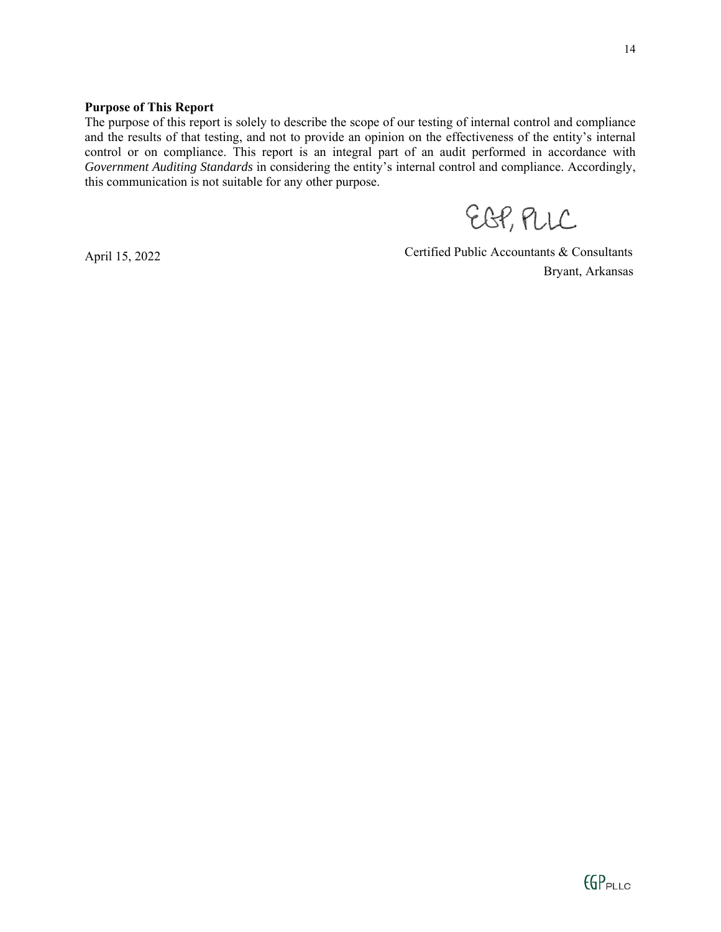#### **Purpose of This Report**

The purpose of this report is solely to describe the scope of our testing of internal control and compliance and the results of that testing, and not to provide an opinion on the effectiveness of the entity's internal control or on compliance. This report is an integral part of an audit performed in accordance with *Government Auditing Standards* in considering the entity's internal control and compliance. Accordingly, this communication is not suitable for any other purpose.

EGP, PLIC

April 15, 2022 Certified Public Accountants & Consultants Bryant, Arkansas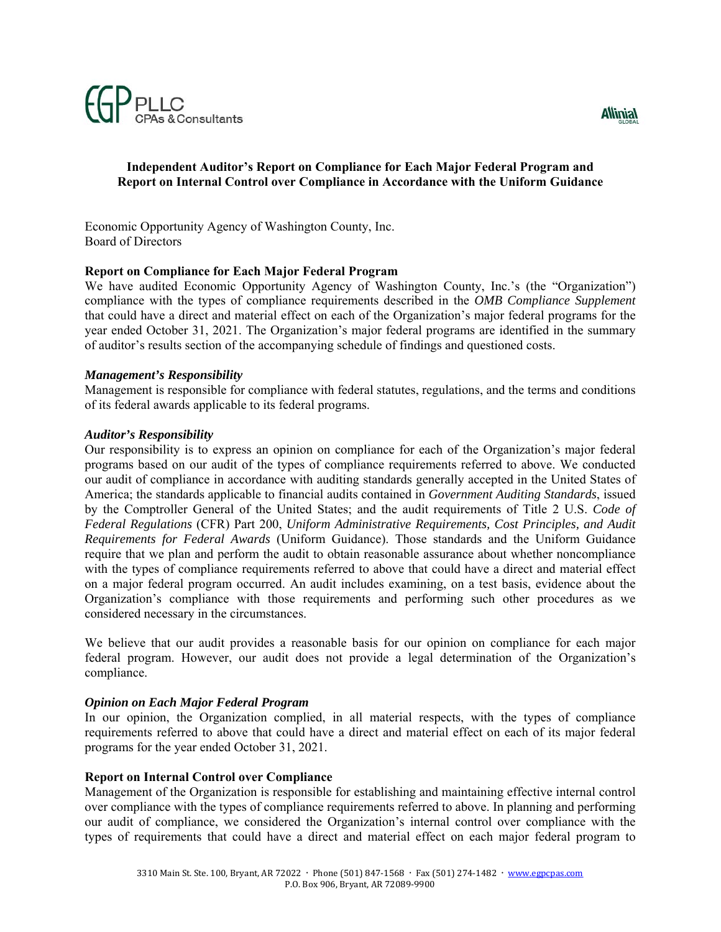



## **Independent Auditor's Report on Compliance for Each Major Federal Program and Report on Internal Control over Compliance in Accordance with the Uniform Guidance**

Economic Opportunity Agency of Washington County, Inc. Board of Directors

### **Report on Compliance for Each Major Federal Program**

We have audited Economic Opportunity Agency of Washington County, Inc.'s (the "Organization") compliance with the types of compliance requirements described in the *OMB Compliance Supplement*  that could have a direct and material effect on each of the Organization's major federal programs for the year ended October 31, 2021. The Organization's major federal programs are identified in the summary of auditor's results section of the accompanying schedule of findings and questioned costs.

#### *Management's Responsibility*

Management is responsible for compliance with federal statutes, regulations, and the terms and conditions of its federal awards applicable to its federal programs.

#### *Auditor's Responsibility*

Our responsibility is to express an opinion on compliance for each of the Organization's major federal programs based on our audit of the types of compliance requirements referred to above. We conducted our audit of compliance in accordance with auditing standards generally accepted in the United States of America; the standards applicable to financial audits contained in *Government Auditing Standards*, issued by the Comptroller General of the United States; and the audit requirements of Title 2 U.S. *Code of Federal Regulations* (CFR) Part 200, *Uniform Administrative Requirements, Cost Principles, and Audit Requirements for Federal Awards* (Uniform Guidance). Those standards and the Uniform Guidance require that we plan and perform the audit to obtain reasonable assurance about whether noncompliance with the types of compliance requirements referred to above that could have a direct and material effect on a major federal program occurred. An audit includes examining, on a test basis, evidence about the Organization's compliance with those requirements and performing such other procedures as we considered necessary in the circumstances.

We believe that our audit provides a reasonable basis for our opinion on compliance for each major federal program. However, our audit does not provide a legal determination of the Organization's compliance.

### *Opinion on Each Major Federal Program*

In our opinion, the Organization complied, in all material respects, with the types of compliance requirements referred to above that could have a direct and material effect on each of its major federal programs for the year ended October 31, 2021.

#### **Report on Internal Control over Compliance**

Management of the Organization is responsible for establishing and maintaining effective internal control over compliance with the types of compliance requirements referred to above. In planning and performing our audit of compliance, we considered the Organization's internal control over compliance with the types of requirements that could have a direct and material effect on each major federal program to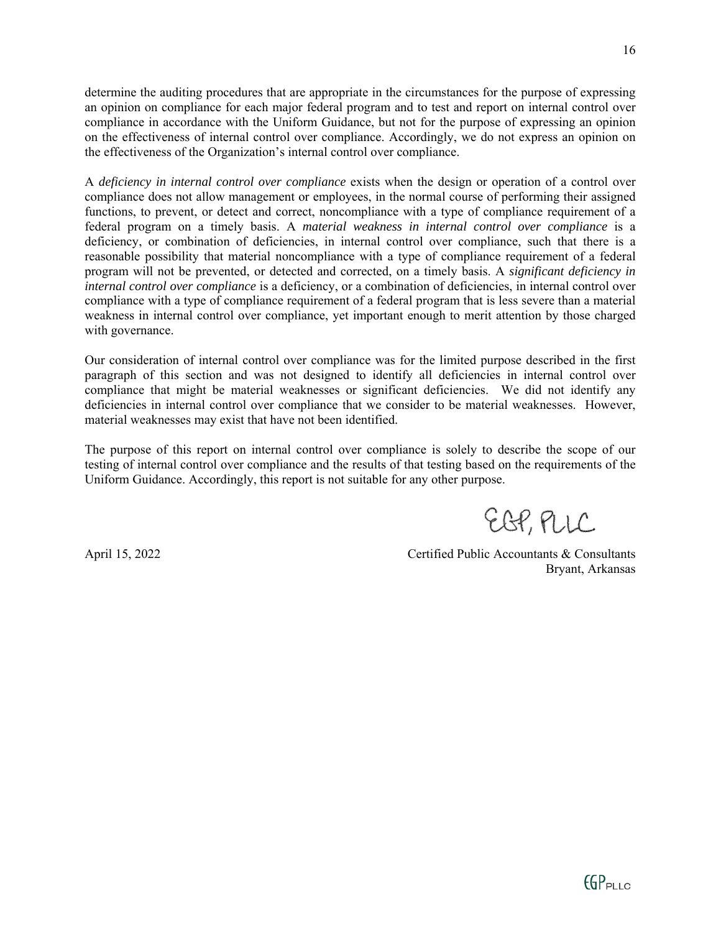determine the auditing procedures that are appropriate in the circumstances for the purpose of expressing an opinion on compliance for each major federal program and to test and report on internal control over compliance in accordance with the Uniform Guidance, but not for the purpose of expressing an opinion on the effectiveness of internal control over compliance. Accordingly, we do not express an opinion on the effectiveness of the Organization's internal control over compliance.

A *deficiency in internal control over compliance* exists when the design or operation of a control over compliance does not allow management or employees, in the normal course of performing their assigned functions, to prevent, or detect and correct, noncompliance with a type of compliance requirement of a federal program on a timely basis. A *material weakness in internal control over compliance* is a deficiency, or combination of deficiencies, in internal control over compliance, such that there is a reasonable possibility that material noncompliance with a type of compliance requirement of a federal program will not be prevented, or detected and corrected, on a timely basis. A *significant deficiency in internal control over compliance* is a deficiency, or a combination of deficiencies, in internal control over compliance with a type of compliance requirement of a federal program that is less severe than a material weakness in internal control over compliance, yet important enough to merit attention by those charged with governance.

Our consideration of internal control over compliance was for the limited purpose described in the first paragraph of this section and was not designed to identify all deficiencies in internal control over compliance that might be material weaknesses or significant deficiencies. We did not identify any deficiencies in internal control over compliance that we consider to be material weaknesses. However, material weaknesses may exist that have not been identified.

The purpose of this report on internal control over compliance is solely to describe the scope of our testing of internal control over compliance and the results of that testing based on the requirements of the Uniform Guidance. Accordingly, this report is not suitable for any other purpose.

EGP. PLIC

April 15, 2022 Certified Public Accountants & Consultants Bryant, Arkansas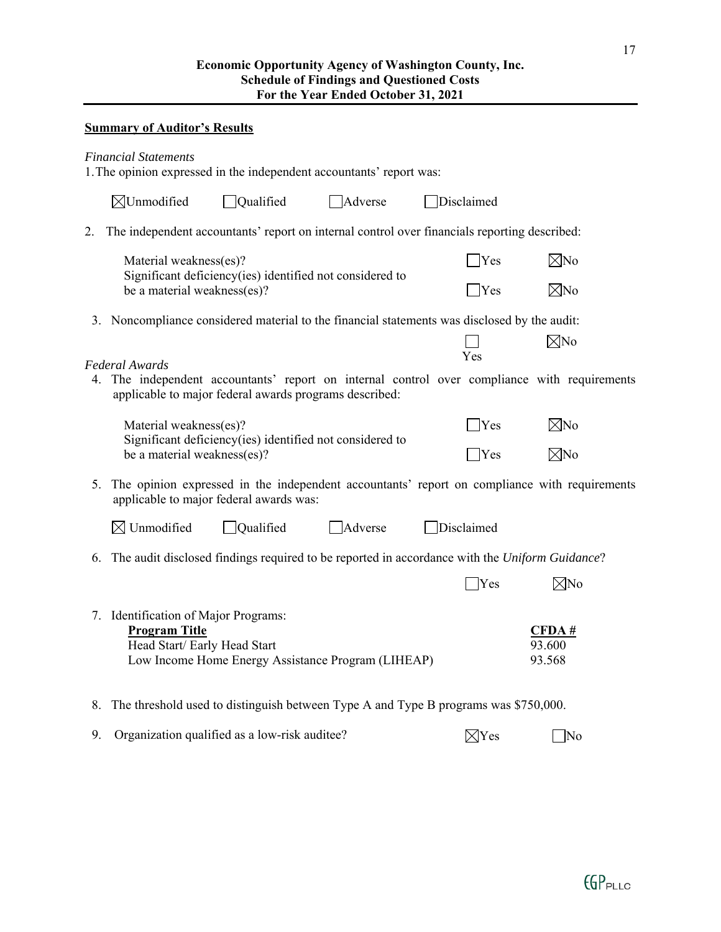## **Summary of Auditor's Results**

|    | <b>Financial Statements</b><br>1. The opinion expressed in the independent accountants' report was:                                                                      |           |         |                 |                     |  |  |  |
|----|--------------------------------------------------------------------------------------------------------------------------------------------------------------------------|-----------|---------|-----------------|---------------------|--|--|--|
|    | $\boxtimes$ Unmodified                                                                                                                                                   | Qualified | Adverse | Disclaimed      |                     |  |  |  |
| 2. | The independent accountants' report on internal control over financials reporting described:                                                                             |           |         |                 |                     |  |  |  |
|    | Material weakness(es)?<br>Significant deficiency(ies) identified not considered to                                                                                       |           |         | $\gamma$ Yes    | $\boxtimes$ No      |  |  |  |
|    | be a material weakness(es)?                                                                                                                                              |           |         | $\Box$ Yes      | $\boxtimes$ No      |  |  |  |
|    | 3. Noncompliance considered material to the financial statements was disclosed by the audit:                                                                             |           |         |                 |                     |  |  |  |
|    |                                                                                                                                                                          |           |         | Yes             | $\boxtimes$ No      |  |  |  |
|    | Federal Awards<br>4. The independent accountants' report on internal control over compliance with requirements<br>applicable to major federal awards programs described: |           |         |                 |                     |  |  |  |
|    | Material weakness(es)?                                                                                                                                                   |           |         | $\gamma$ es     | $\boxtimes$ No      |  |  |  |
|    | Significant deficiency(ies) identified not considered to<br>be a material weakness(es)?                                                                                  |           |         | Yes             | $\nabla$ No         |  |  |  |
| 5. | The opinion expressed in the independent accountants' report on compliance with requirements<br>applicable to major federal awards was:                                  |           |         |                 |                     |  |  |  |
|    | $\boxtimes$ Unmodified                                                                                                                                                   | Qualified | Adverse | Disclaimed      |                     |  |  |  |
|    | 6. The audit disclosed findings required to be reported in accordance with the Uniform Guidance?                                                                         |           |         |                 |                     |  |  |  |
|    |                                                                                                                                                                          |           |         | Yes             | $\boxtimes$ No      |  |  |  |
|    | 7. Identification of Major Programs:<br><b>Program Title</b><br>Head Start/ Early Head Start                                                                             |           |         |                 | $CFDA \#$<br>93.600 |  |  |  |
|    | Low Income Home Energy Assistance Program (LIHEAP)                                                                                                                       |           |         |                 | 93.568              |  |  |  |
| 8. | The threshold used to distinguish between Type A and Type B programs was \$750,000.                                                                                      |           |         |                 |                     |  |  |  |
| 9. | Organization qualified as a low-risk auditee?                                                                                                                            |           |         | $\boxtimes$ Yes | $\Box$ No           |  |  |  |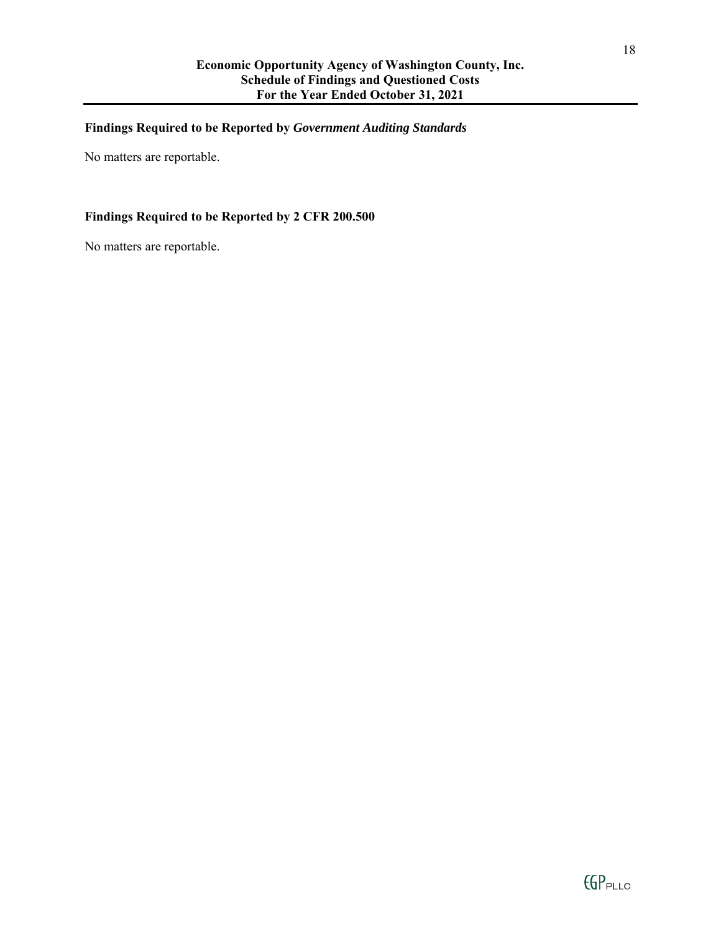## **Findings Required to be Reported by** *Government Auditing Standards*

No matters are reportable.

## **Findings Required to be Reported by 2 CFR 200.500**

No matters are reportable.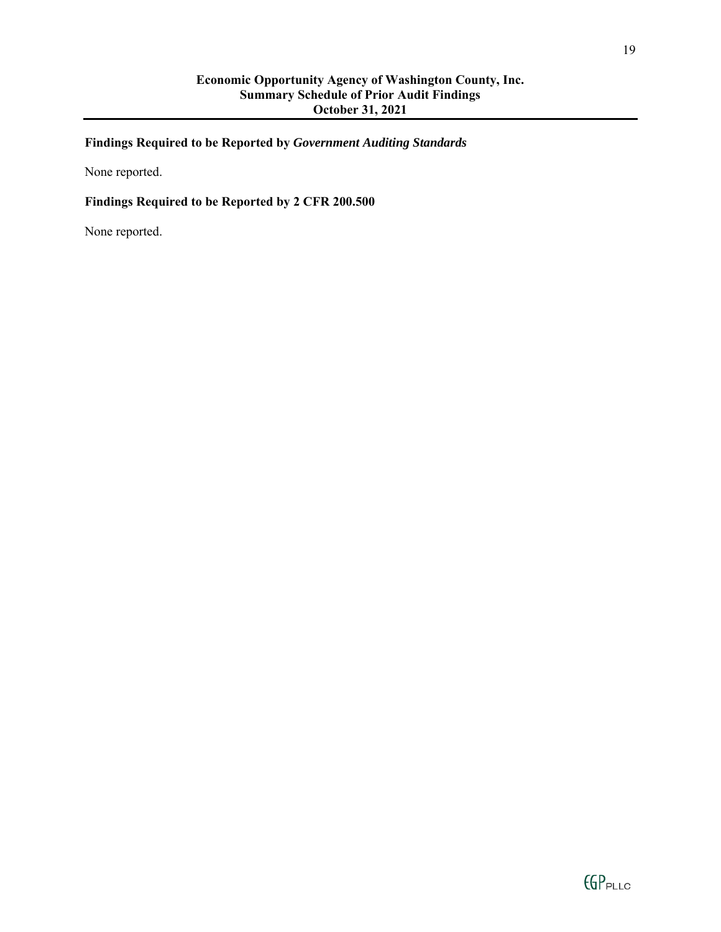## **Findings Required to be Reported by** *Government Auditing Standards*

None reported.

## **Findings Required to be Reported by 2 CFR 200.500**

None reported.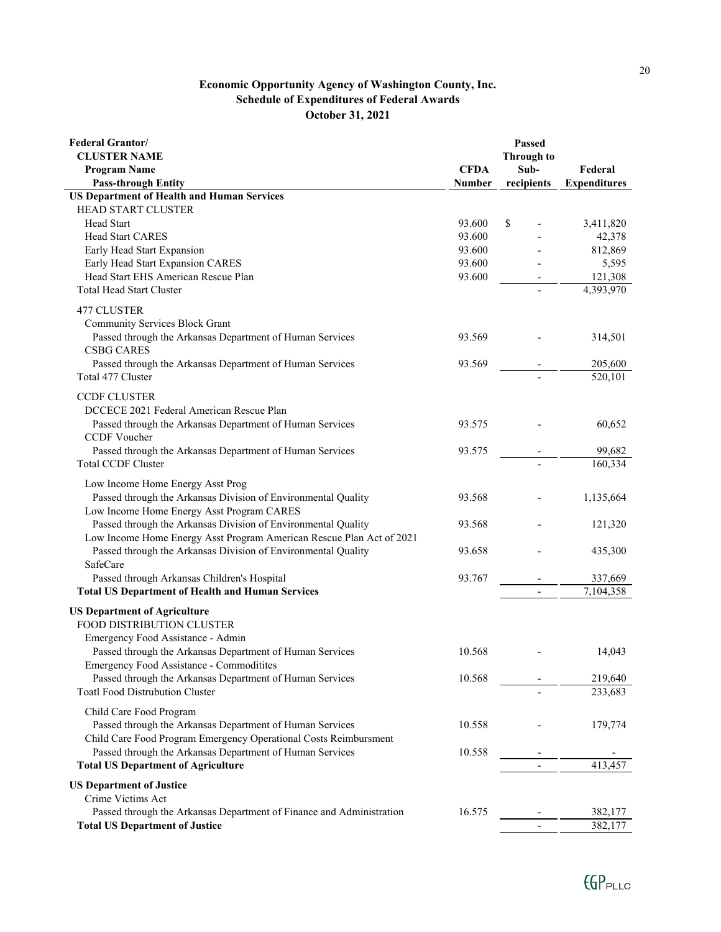## **Schedule of Expenditures of Federal Awards Economic Opportunity Agency of Washington County, Inc. October 31, 2021**

| <b>Federal Grantor/</b>                                                                                    |                  | Passed            |                     |
|------------------------------------------------------------------------------------------------------------|------------------|-------------------|---------------------|
| <b>CLUSTER NAME</b>                                                                                        |                  | <b>Through to</b> |                     |
| <b>Program Name</b>                                                                                        | <b>CFDA</b>      | Sub-              | Federal             |
| <b>Pass-through Entity</b>                                                                                 | <b>Number</b>    | recipients        | <b>Expenditures</b> |
| <b>US Department of Health and Human Services</b>                                                          |                  |                   |                     |
| <b>HEAD START CLUSTER</b>                                                                                  |                  |                   |                     |
| <b>Head Start</b><br><b>Head Start CARES</b>                                                               | 93.600<br>93.600 | \$                | 3,411,820<br>42,378 |
| Early Head Start Expansion                                                                                 | 93.600           |                   | 812,869             |
| Early Head Start Expansion CARES                                                                           | 93.600           |                   | 5,595               |
| Head Start EHS American Rescue Plan                                                                        | 93.600           |                   | 121,308             |
| <b>Total Head Start Cluster</b>                                                                            |                  |                   | 4,393,970           |
|                                                                                                            |                  |                   |                     |
| 477 CLUSTER<br><b>Community Services Block Grant</b>                                                       |                  |                   |                     |
| Passed through the Arkansas Department of Human Services                                                   | 93.569           |                   | 314,501             |
| <b>CSBG CARES</b>                                                                                          |                  |                   |                     |
| Passed through the Arkansas Department of Human Services                                                   | 93.569           |                   | 205,600             |
| Total 477 Cluster                                                                                          |                  |                   | 520,101             |
|                                                                                                            |                  |                   |                     |
| <b>CCDF CLUSTER</b>                                                                                        |                  |                   |                     |
| DCCECE 2021 Federal American Rescue Plan                                                                   |                  |                   |                     |
| Passed through the Arkansas Department of Human Services<br>CCDF Voucher                                   | 93.575           |                   | 60,652              |
| Passed through the Arkansas Department of Human Services                                                   | 93.575           |                   | 99,682              |
| <b>Total CCDF Cluster</b>                                                                                  |                  |                   | 160,334             |
|                                                                                                            |                  |                   |                     |
| Low Income Home Energy Asst Prog                                                                           |                  |                   |                     |
| Passed through the Arkansas Division of Environmental Quality<br>Low Income Home Energy Asst Program CARES | 93.568           |                   | 1,135,664           |
| Passed through the Arkansas Division of Environmental Quality                                              | 93.568           |                   | 121,320             |
| Low Income Home Energy Asst Program American Rescue Plan Act of 2021                                       |                  |                   |                     |
| Passed through the Arkansas Division of Environmental Quality                                              | 93.658           |                   | 435,300             |
| SafeCare                                                                                                   |                  |                   |                     |
| Passed through Arkansas Children's Hospital                                                                | 93.767           |                   | 337,669             |
| <b>Total US Department of Health and Human Services</b>                                                    |                  |                   | 7,104,358           |
| <b>US Department of Agriculture</b>                                                                        |                  |                   |                     |
| FOOD DISTRIBUTION CLUSTER                                                                                  |                  |                   |                     |
| Emergency Food Assistance - Admin                                                                          |                  |                   |                     |
| Passed through the Arkansas Department of Human Services                                                   | 10.568           |                   | 14,043              |
| Emergency Food Assistance - Commoditites                                                                   |                  |                   |                     |
| Passed through the Arkansas Department of Human Services                                                   | 10.568           |                   | 219,640             |
| <b>Toatl Food Distrubution Cluster</b>                                                                     |                  |                   | 233,683             |
| Child Care Food Program                                                                                    |                  |                   |                     |
| Passed through the Arkansas Department of Human Services                                                   | 10.558           |                   | 179,774             |
| Child Care Food Program Emergency Operational Costs Reimbursment                                           |                  |                   |                     |
| Passed through the Arkansas Department of Human Services                                                   | 10.558           |                   |                     |
| <b>Total US Department of Agriculture</b>                                                                  |                  |                   | 413,457             |
| <b>US Department of Justice</b>                                                                            |                  |                   |                     |
| Crime Victims Act                                                                                          |                  |                   |                     |
| Passed through the Arkansas Department of Finance and Administration                                       | 16.575           |                   | 382,177             |
| <b>Total US Department of Justice</b>                                                                      |                  |                   | 382,177             |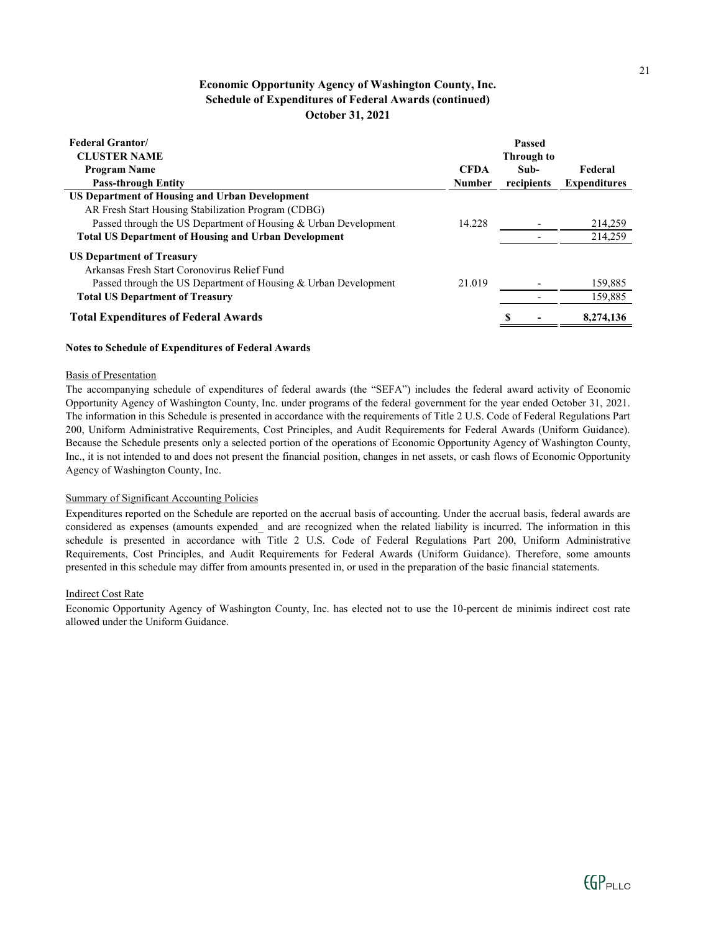### **Economic Opportunity Agency of Washington County, Inc. Schedule of Expenditures of Federal Awards (continued) October 31, 2021**

| <b>Federal Grantor/</b><br><b>CLUSTER NAME</b>                  |               | <b>Passed</b><br><b>Through to</b> |                     |
|-----------------------------------------------------------------|---------------|------------------------------------|---------------------|
| <b>Program Name</b>                                             | <b>CFDA</b>   | Sub-                               | Federal             |
| <b>Pass-through Entity</b>                                      | <b>Number</b> | recipients                         | <b>Expenditures</b> |
| <b>US Department of Housing and Urban Development</b>           |               |                                    |                     |
| AR Fresh Start Housing Stabilization Program (CDBG)             |               |                                    |                     |
| Passed through the US Department of Housing & Urban Development | 14.228        | -                                  | 214,259             |
| <b>Total US Department of Housing and Urban Development</b>     |               |                                    | 214,259             |
| <b>US Department of Treasury</b>                                |               |                                    |                     |
| Arkansas Fresh Start Coronovirus Relief Fund                    |               |                                    |                     |
| Passed through the US Department of Housing & Urban Development | 21.019        | -                                  | 159,885             |
| <b>Total US Department of Treasury</b>                          |               |                                    | 159,885             |
| <b>Total Expenditures of Federal Awards</b>                     |               |                                    | 8.274.136           |

#### **Notes to Schedule of Expenditures of Federal Awards**

#### Basis of Presentation

The accompanying schedule of expenditures of federal awards (the "SEFA") includes the federal award activity of Economic Opportunity Agency of Washington County, Inc. under programs of the federal government for the year ended October 31, 2021. The information in this Schedule is presented in accordance with the requirements of Title 2 U.S. Code of Federal Regulations Part 200, Uniform Administrative Requirements, Cost Principles, and Audit Requirements for Federal Awards (Uniform Guidance). Because the Schedule presents only a selected portion of the operations of Economic Opportunity Agency of Washington County, Inc., it is not intended to and does not present the financial position, changes in net assets, or cash flows of Economic Opportunity Agency of Washington County, Inc.

#### Summary of Significant Accounting Policies

Expenditures reported on the Schedule are reported on the accrual basis of accounting. Under the accrual basis, federal awards are considered as expenses (amounts expended\_ and are recognized when the related liability is incurred. The information in this schedule is presented in accordance with Title 2 U.S. Code of Federal Regulations Part 200, Uniform Administrative Requirements, Cost Principles, and Audit Requirements for Federal Awards (Uniform Guidance). Therefore, some amounts presented in this schedule may differ from amounts presented in, or used in the preparation of the basic financial statements.

#### Indirect Cost Rate

Economic Opportunity Agency of Washington County, Inc. has elected not to use the 10-percent de minimis indirect cost rate allowed under the Uniform Guidance.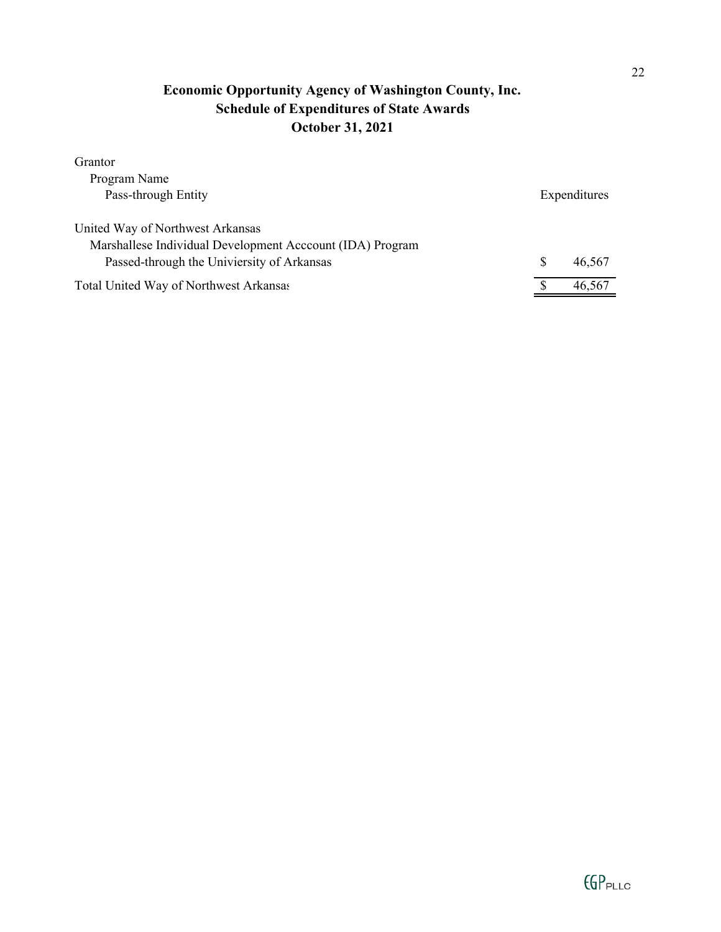# **Economic Opportunity Agency of Washington County, Inc. Schedule of Expenditures of State Awards October 31, 2021**

| Grantor                                                                                                                                     |   |              |
|---------------------------------------------------------------------------------------------------------------------------------------------|---|--------------|
| Program Name                                                                                                                                |   |              |
| Pass-through Entity                                                                                                                         |   | Expenditures |
| United Way of Northwest Arkansas<br>Marshallese Individual Development Acccount (IDA) Program<br>Passed-through the Univiersity of Arkansas | S | 46.567       |
|                                                                                                                                             |   |              |
| Total United Way of Northwest Arkansas                                                                                                      |   | 46,567       |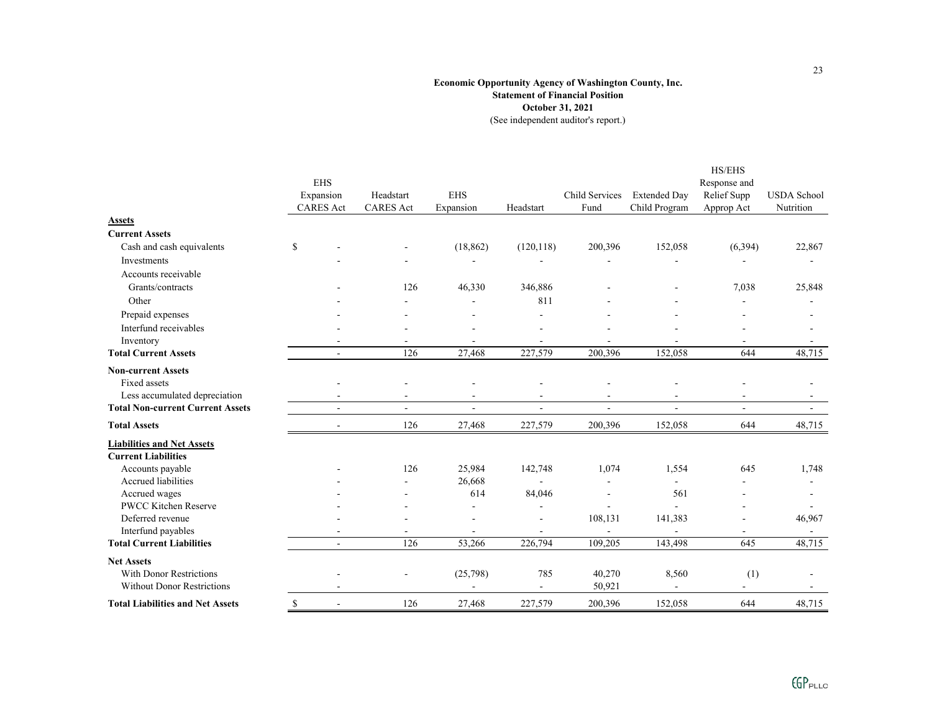#### **Economic Opportunity Agency of Washington County, Inc. Statement of Financial Position October 31, 2021** (See independent auditor's report.)

|                                         |                          |                          |            |                |                |                     | HS/EHS                   |                    |
|-----------------------------------------|--------------------------|--------------------------|------------|----------------|----------------|---------------------|--------------------------|--------------------|
|                                         | <b>EHS</b>               |                          |            |                |                |                     | Response and             |                    |
|                                         | Expansion                | Headstart                | <b>EHS</b> |                | Child Services | <b>Extended Day</b> | Relief Supp              | <b>USDA School</b> |
|                                         | <b>CARES</b> Act         | <b>CARES</b> Act         | Expansion  | Headstart      | Fund           | Child Program       | Approp Act               | Nutrition          |
| <b>Assets</b>                           |                          |                          |            |                |                |                     |                          |                    |
| <b>Current Assets</b>                   |                          |                          |            |                |                |                     |                          |                    |
| Cash and cash equivalents               | \$                       |                          | (18, 862)  | (120, 118)     | 200,396        | 152,058             | (6,394)                  | 22,867             |
| Investments                             |                          |                          |            |                |                |                     |                          |                    |
| Accounts receivable                     |                          |                          |            |                |                |                     |                          |                    |
| Grants/contracts                        |                          | 126                      | 46,330     | 346,886        |                |                     | 7,038                    | 25,848             |
| Other                                   |                          |                          |            | 811            |                |                     |                          |                    |
| Prepaid expenses                        |                          |                          |            |                |                |                     |                          |                    |
| Interfund receivables                   |                          |                          |            |                |                |                     |                          |                    |
| Inventory                               |                          | $\blacksquare$           | ٠          | ٠              |                |                     |                          |                    |
| <b>Total Current Assets</b>             | $\blacksquare$           | 126                      | 27,468     | 227,579        | 200,396        | 152,058             | 644                      | 48,715             |
| <b>Non-current Assets</b>               |                          |                          |            |                |                |                     |                          |                    |
| Fixed assets                            |                          |                          |            |                |                |                     |                          |                    |
| Less accumulated depreciation           |                          | $\blacksquare$           | ٠          | $\blacksquare$ |                |                     |                          |                    |
| <b>Total Non-current Current Assets</b> |                          | $\blacksquare$           | $\sim$     |                | $\sim$         |                     | $\blacksquare$           |                    |
| <b>Total Assets</b>                     |                          | 126                      | 27,468     | 227,579        | 200,396        | 152,058             | 644                      | 48,715             |
| <b>Liabilities and Net Assets</b>       |                          |                          |            |                |                |                     |                          |                    |
| <b>Current Liabilities</b>              |                          |                          |            |                |                |                     |                          |                    |
| Accounts payable                        |                          | 126                      | 25,984     | 142,748        | 1,074          | 1,554               | 645                      | 1,748              |
| Accrued liabilities                     |                          |                          | 26,668     |                |                |                     |                          |                    |
| Accrued wages                           |                          |                          | 614        | 84,046         |                | 561                 |                          |                    |
| <b>PWCC Kitchen Reserve</b>             |                          |                          |            |                |                |                     |                          |                    |
| Deferred revenue                        |                          |                          |            | $\blacksquare$ | 108,131        | 141,383             |                          | 46,967             |
| Interfund payables                      | $\overline{\phantom{a}}$ | $\overline{\phantom{a}}$ | ۰          | $\blacksquare$ | $\mathbf{r}$   |                     | $\overline{\phantom{a}}$ | $\sim$             |
| <b>Total Current Liabilities</b>        | $\sim$                   | 126                      | 53,266     | 226,794        | 109,205        | 143,498             | 645                      | 48,715             |
| <b>Net Assets</b>                       |                          |                          |            |                |                |                     |                          |                    |
| <b>With Donor Restrictions</b>          |                          |                          | (25,798)   | 785            | 40,270         | 8,560               | (1)                      |                    |
| <b>Without Donor Restrictions</b>       |                          |                          |            | $\blacksquare$ | 50,921         |                     |                          |                    |
| <b>Total Liabilities and Net Assets</b> | \$<br>$\overline{a}$     | 126                      | 27,468     | 227,579        | 200,396        | 152,058             | 644                      | 48,715             |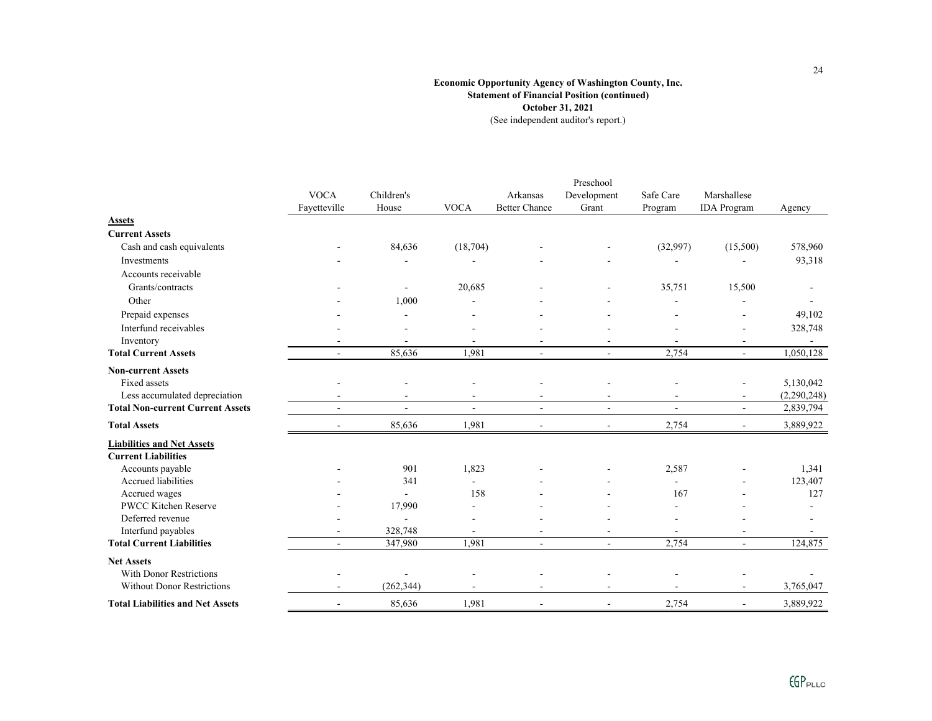#### **Economic Opportunity Agency of Washington County, Inc. Statement of Financial Position (continued) October 31, 2021** (See independent auditor's report.)

|                                         |                          |                          |                          |                          | Preschool                |                          |                          |                          |
|-----------------------------------------|--------------------------|--------------------------|--------------------------|--------------------------|--------------------------|--------------------------|--------------------------|--------------------------|
|                                         | <b>VOCA</b>              | Children's               |                          | Arkansas                 | Development              | Safe Care                | Marshallese              |                          |
|                                         | Fayetteville             | House                    | <b>VOCA</b>              | <b>Better Chance</b>     | Grant                    | Program                  | <b>IDA</b> Program       | Agency                   |
| <b>Assets</b>                           |                          |                          |                          |                          |                          |                          |                          |                          |
| <b>Current Assets</b>                   |                          |                          |                          |                          |                          |                          |                          |                          |
| Cash and cash equivalents               |                          | 84,636                   | (18, 704)                |                          |                          | (32,997)                 | (15,500)                 | 578,960                  |
| Investments                             |                          |                          |                          |                          |                          |                          |                          | 93,318                   |
| Accounts receivable                     |                          |                          |                          |                          |                          |                          |                          |                          |
| Grants/contracts                        |                          | ÷.                       | 20.685                   |                          |                          | 35,751                   | 15,500                   |                          |
| Other                                   |                          | 1,000                    |                          |                          |                          |                          |                          |                          |
| Prepaid expenses                        |                          |                          |                          |                          |                          |                          |                          | 49,102                   |
| Interfund receivables                   |                          |                          |                          |                          |                          |                          |                          | 328,748                  |
| Inventory                               |                          |                          |                          |                          |                          |                          |                          |                          |
| <b>Total Current Assets</b>             |                          | 85,636                   | 1,981                    | L.                       | ÷.                       | 2,754                    | $\overline{a}$           | 1,050,128                |
| <b>Non-current Assets</b>               |                          |                          |                          |                          |                          |                          |                          |                          |
| Fixed assets                            |                          |                          |                          |                          |                          |                          |                          | 5,130,042                |
| Less accumulated depreciation           |                          | $\overline{\phantom{a}}$ | $\overline{\phantom{a}}$ | $\overline{\phantom{a}}$ | $\overline{a}$           | $\overline{\phantom{a}}$ | $\blacksquare$           | (2,290,248)              |
| <b>Total Non-current Current Assets</b> | $\sim$                   | $\mathbf{r}$             | $\mathbf{r}$             | $\sim$                   | $\sim$                   | $\sim$                   | $\omega$                 | 2,839,794                |
| <b>Total Assets</b>                     | $\sim$                   | 85,636                   | 1,981                    | $\sim$                   | $\sim$                   | 2,754                    | $\blacksquare$           | 3,889,922                |
| <b>Liabilities and Net Assets</b>       |                          |                          |                          |                          |                          |                          |                          |                          |
| <b>Current Liabilities</b>              |                          |                          |                          |                          |                          |                          |                          |                          |
| Accounts payable                        |                          | 901                      | 1,823                    |                          |                          | 2,587                    |                          | 1,341                    |
| Accrued liabilities                     |                          | 341                      |                          |                          |                          | ÷.                       |                          | 123,407                  |
| Accrued wages                           |                          | $\blacksquare$           | 158                      |                          |                          | 167                      |                          | 127                      |
| <b>PWCC Kitchen Reserve</b>             |                          | 17,990                   |                          |                          |                          |                          |                          |                          |
| Deferred revenue                        |                          | $\overline{a}$           |                          |                          |                          |                          |                          |                          |
| Interfund payables                      | $\overline{\phantom{a}}$ | 328,748                  | $\overline{\phantom{a}}$ | ۰                        | $\overline{\phantom{a}}$ | $\overline{\phantom{a}}$ | $\overline{\phantom{a}}$ | $\overline{\phantom{a}}$ |
| <b>Total Current Liabilities</b>        | $\sim$                   | 347,980                  | 1,981                    | $\overline{a}$           | $\blacksquare$           | 2,754                    | $\omega$                 | 124,875                  |
| <b>Net Assets</b>                       |                          |                          |                          |                          |                          |                          |                          |                          |
| <b>With Donor Restrictions</b>          |                          | $\overline{a}$           |                          |                          |                          |                          |                          |                          |
| <b>Without Donor Restrictions</b>       |                          | (262, 344)               |                          |                          |                          |                          |                          | 3,765,047                |
| <b>Total Liabilities and Net Assets</b> |                          | 85,636                   | 1,981                    |                          |                          | 2,754                    |                          | 3,889,922                |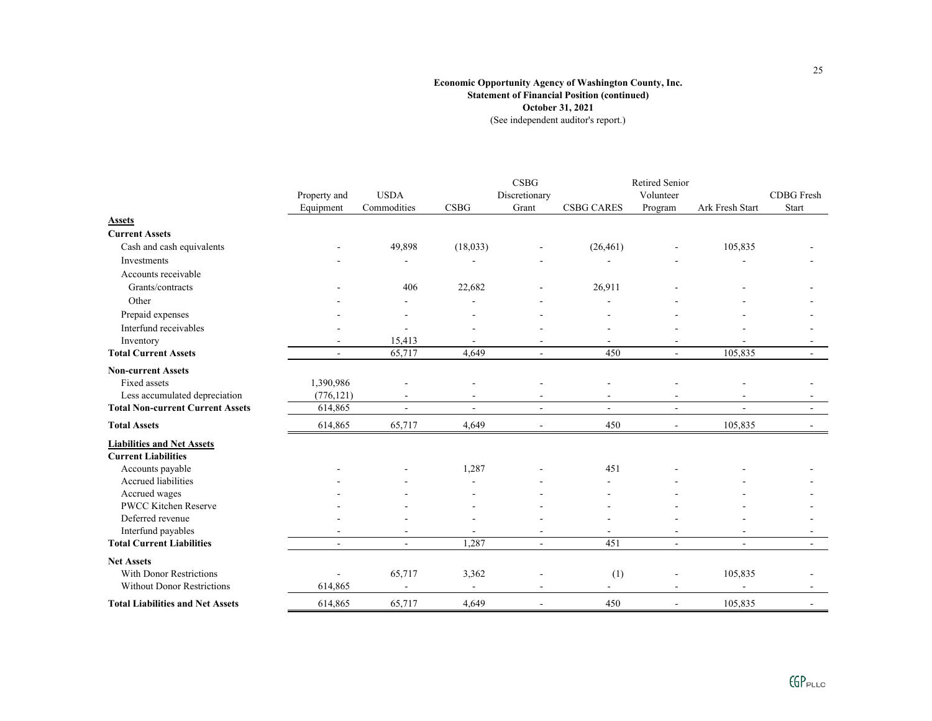#### **Economic Opportunity Agency of Washington County, Inc. Statement of Financial Position (continued) October 31, 2021** (See independent auditor's report.)

|                                         |                           |                            |          | <b>CSBG</b>            |                   | <b>Retired Senior</b> |                          |                            |
|-----------------------------------------|---------------------------|----------------------------|----------|------------------------|-------------------|-----------------------|--------------------------|----------------------------|
|                                         | Property and<br>Equipment | <b>USDA</b><br>Commodities | CSBG     | Discretionary<br>Grant | <b>CSBG CARES</b> | Volunteer<br>Program  | Ark Fresh Start          | <b>CDBG</b> Fresh<br>Start |
| <b>Assets</b>                           |                           |                            |          |                        |                   |                       |                          |                            |
| <b>Current Assets</b>                   |                           |                            |          |                        |                   |                       |                          |                            |
| Cash and cash equivalents               |                           | 49,898                     | (18,033) |                        | (26, 461)         |                       | 105,835                  |                            |
| Investments                             |                           |                            |          |                        |                   |                       |                          |                            |
| Accounts receivable                     |                           |                            |          |                        |                   |                       |                          |                            |
| Grants/contracts                        |                           | 406                        | 22,682   |                        | 26,911            |                       |                          |                            |
| Other                                   |                           |                            |          |                        |                   |                       |                          |                            |
| Prepaid expenses                        |                           |                            |          |                        |                   |                       |                          |                            |
| Interfund receivables                   |                           | ÷.                         |          |                        |                   |                       |                          |                            |
| Inventory                               |                           | 15,413                     |          |                        |                   |                       |                          |                            |
| <b>Total Current Assets</b>             | $\blacksquare$            | 65,717                     | 4,649    | $\blacksquare$         | 450               | $\blacksquare$        | 105,835                  |                            |
| <b>Non-current Assets</b>               |                           |                            |          |                        |                   |                       |                          |                            |
| Fixed assets                            | 1,390,986                 |                            |          |                        |                   |                       |                          |                            |
| Less accumulated depreciation           | (776, 121)                | $\overline{a}$             |          |                        |                   |                       |                          |                            |
| <b>Total Non-current Current Assets</b> | 614,865                   | $\mathbf{r}$               |          | $\sim$                 | ÷.                | ÷.                    | $\overline{a}$           |                            |
| <b>Total Assets</b>                     | 614,865                   | 65,717                     | 4,649    |                        | 450               | $\sim$                | 105,835                  |                            |
| <b>Liabilities and Net Assets</b>       |                           |                            |          |                        |                   |                       |                          |                            |
| <b>Current Liabilities</b>              |                           |                            |          |                        |                   |                       |                          |                            |
| Accounts payable                        |                           |                            | 1,287    |                        | 451               |                       |                          |                            |
| Accrued liabilities                     |                           |                            |          |                        |                   |                       |                          |                            |
| Accrued wages                           |                           |                            |          |                        |                   |                       |                          |                            |
| <b>PWCC Kitchen Reserve</b>             |                           |                            |          |                        |                   |                       |                          |                            |
| Deferred revenue                        |                           |                            |          |                        |                   |                       |                          |                            |
| Interfund payables                      |                           |                            |          |                        |                   |                       |                          |                            |
| <b>Total Current Liabilities</b>        | $\sim$                    | $\sim$                     | 1,287    |                        | 451               | $\sim$                | $\overline{\phantom{a}}$ |                            |
| <b>Net Assets</b>                       |                           |                            |          |                        |                   |                       |                          |                            |
| With Donor Restrictions                 |                           | 65,717                     | 3,362    |                        | (1)               |                       | 105,835                  |                            |
| <b>Without Donor Restrictions</b>       | 614,865                   |                            |          |                        |                   |                       |                          |                            |
| <b>Total Liabilities and Net Assets</b> | 614,865                   | 65,717                     | 4,649    |                        | 450               |                       | 105,835                  |                            |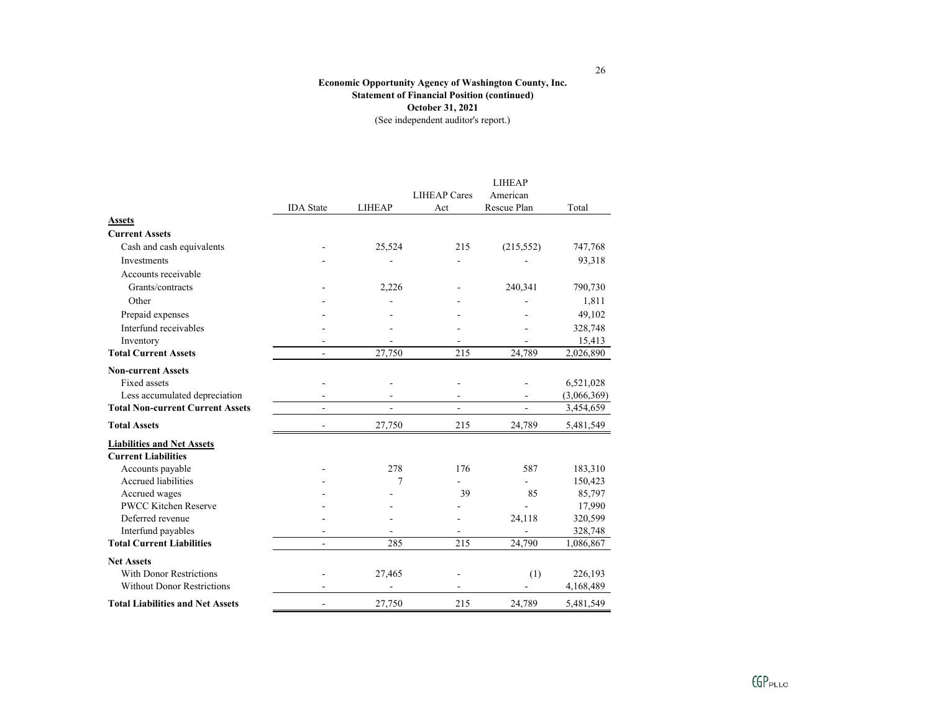#### **Economic Opportunity Agency of Washington County, Inc. Statement of Financial Position (continued) October 31, 2021** (See independent auditor's report.)

|                                         |                          |               |                     | <b>LIHEAP</b> |             |
|-----------------------------------------|--------------------------|---------------|---------------------|---------------|-------------|
|                                         |                          |               | <b>LIHEAP Cares</b> | American      |             |
|                                         | <b>IDA</b> State         | <b>LIHEAP</b> | Act                 | Rescue Plan   | Total       |
| <b>Assets</b>                           |                          |               |                     |               |             |
| <b>Current Assets</b>                   |                          |               |                     |               |             |
| Cash and cash equivalents               |                          | 25,524        | 215                 | (215, 552)    | 747,768     |
| Investments                             |                          |               |                     |               | 93,318      |
| Accounts receivable                     |                          |               |                     |               |             |
| Grants/contracts                        |                          | 2,226         |                     | 240,341       | 790,730     |
| Other                                   |                          |               |                     |               | 1,811       |
| Prepaid expenses                        |                          |               |                     |               | 49,102      |
| Interfund receivables                   |                          |               |                     |               | 328,748     |
| Inventory                               |                          |               |                     |               | 15,413      |
| <b>Total Current Assets</b>             |                          | 27,750        | 215                 | 24,789        | 2,026,890   |
| <b>Non-current Assets</b>               |                          |               |                     |               |             |
| Fixed assets                            |                          |               |                     |               | 6,521,028   |
| Less accumulated depreciation           |                          |               |                     |               | (3,066,369) |
| <b>Total Non-current Current Assets</b> |                          |               |                     |               | 3,454,659   |
| <b>Total Assets</b>                     |                          | 27,750        | 215                 | 24,789        | 5,481,549   |
| <b>Liabilities and Net Assets</b>       |                          |               |                     |               |             |
| <b>Current Liabilities</b>              |                          |               |                     |               |             |
| Accounts payable                        |                          | 278           | 176                 | 587           | 183,310     |
| Accrued liabilities                     |                          | 7             |                     |               | 150,423     |
| Accrued wages                           |                          |               | 39                  | 85            | 85,797      |
| <b>PWCC Kitchen Reserve</b>             |                          |               |                     |               | 17,990      |
| Deferred revenue                        |                          |               |                     | 24,118        | 320,599     |
| Interfund payables                      |                          |               |                     |               | 328,748     |
| <b>Total Current Liabilities</b>        | $\overline{\phantom{0}}$ | 285           | 215                 | 24,790        | 1,086,867   |
| <b>Net Assets</b>                       |                          |               |                     |               |             |
| <b>With Donor Restrictions</b>          |                          | 27,465        |                     | (1)           | 226,193     |
| <b>Without Donor Restrictions</b>       |                          |               |                     |               | 4,168,489   |
| <b>Total Liabilities and Net Assets</b> |                          | 27,750        | 215                 | 24,789        | 5,481,549   |

26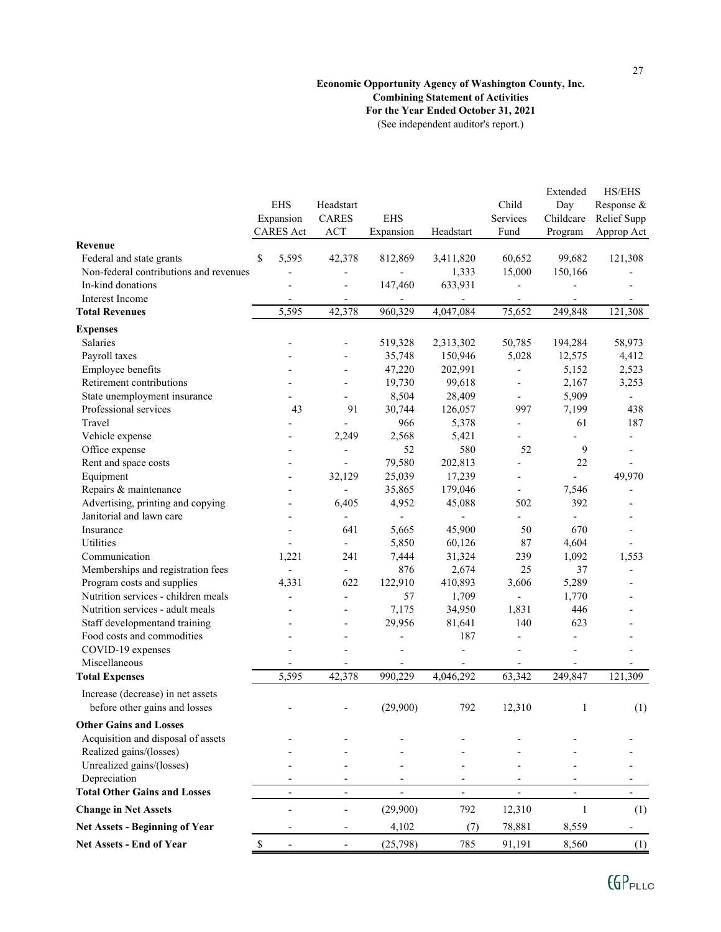## **Economic Opportunity Agency of Washington County, Inc. Combining Statement of Activities For the Year Ended October 31, 2021**

|                                        | <b>EHS</b>               | Headstart                |                          |                          | Child                    | Extended<br>Day          | <b>HS/EHS</b><br>Response & |
|----------------------------------------|--------------------------|--------------------------|--------------------------|--------------------------|--------------------------|--------------------------|-----------------------------|
|                                        | Expansion                | <b>CARES</b>             | <b>EHS</b>               |                          | Services                 | Childcare                | Relief Supp                 |
|                                        | <b>CARES</b> Act         | ACT                      | Expansion                | Headstart                | Fund                     | Program                  | Approp Act                  |
| Revenue                                |                          |                          |                          |                          |                          |                          |                             |
| Federal and state grants               | \$<br>5,595              | 42,378                   | 812,869                  | 3,411,820                | 60,652                   | 99,682                   | 121,308                     |
| Non-federal contributions and revenues |                          | $\overline{\phantom{0}}$ | $\overline{\phantom{0}}$ | 1,333                    | 15,000                   | 150,166                  |                             |
| In-kind donations                      |                          |                          | 147,460                  | 633,931                  | $\overline{a}$           |                          |                             |
| Interest Income                        | $\overline{\phantom{a}}$ | $\overline{\phantom{a}}$ | $\overline{\phantom{0}}$ | $\overline{\phantom{0}}$ | $\overline{\phantom{a}}$ | $\overline{\phantom{a}}$ | $\overline{\phantom{a}}$    |
| <b>Total Revenues</b>                  | 5,595                    | 42,378                   | 960,329                  | 4,047,084                | 75,652                   | 249,848                  | 121,308                     |
| <b>Expenses</b>                        |                          |                          |                          |                          |                          |                          |                             |
| Salaries                               |                          |                          | 519,328                  | 2,313,302                | 50,785                   | 194,284                  | 58,973                      |
| Payroll taxes                          |                          |                          | 35,748                   | 150,946                  | 5,028                    | 12,575                   | 4,412                       |
| Employee benefits                      |                          |                          | 47,220                   | 202,991                  | $\overline{a}$           | 5,152                    | 2,523                       |
| Retirement contributions               |                          | $\overline{\phantom{0}}$ | 19,730                   | 99,618                   | $\overline{\phantom{a}}$ | 2,167                    | 3,253                       |
| State unemployment insurance           |                          |                          | 8,504                    | 28,409                   | $\overline{\phantom{a}}$ | 5,909                    | $\overline{\phantom{a}}$    |
| Professional services                  | 43                       | 91                       | 30,744                   | 126,057                  | 997                      | 7,199                    | 438                         |
| Travel                                 |                          |                          | 966                      | 5,378                    |                          | 61                       | 187                         |
| Vehicle expense                        |                          | 2,249                    | 2,568                    | 5,421                    | $\overline{a}$           | $\overline{\phantom{a}}$ | $\overline{\phantom{a}}$    |
| Office expense                         |                          | $\overline{\phantom{a}}$ | 52                       | 580                      | 52                       | 9                        | $\blacksquare$              |
| Rent and space costs                   |                          | $\overline{a}$           | 79,580                   | 202,813                  |                          | 22                       |                             |
| Equipment                              |                          | 32,129                   | 25,039                   | 17,239                   | $\overline{a}$           | $\overline{a}$           | 49,970                      |
| Repairs & maintenance                  |                          |                          | 35,865                   | 179,046                  | $\overline{\phantom{0}}$ | 7,546                    |                             |
| Advertising, printing and copying      |                          | 6,405                    | 4,952                    | 45,088                   | 502                      | 392                      |                             |
| Janitorial and lawn care               |                          |                          |                          |                          |                          | $\overline{\phantom{a}}$ |                             |
| Insurance                              |                          | 641                      | 5,665                    | 45,900                   | 50                       | 670                      |                             |
| Utilities                              |                          |                          | 5,850                    | 60,126                   | 87                       | 4,604                    |                             |
| Communication                          | 1,221                    | 241                      | 7,444                    | 31,324                   | 239                      | 1,092                    | 1,553                       |
| Memberships and registration fees      |                          | $\overline{\phantom{0}}$ | 876                      | 2,674                    | 25                       | 37                       |                             |
| Program costs and supplies             | 4,331                    | 622                      | 122,910                  | 410,893                  | 3,606                    | 5,289                    |                             |
| Nutrition services - children meals    | $\overline{a}$           | $\overline{a}$           | 57                       | 1,709                    | $\overline{\phantom{a}}$ | 1,770                    |                             |
| Nutrition services - adult meals       |                          |                          | 7,175                    | 34,950                   | 1,831                    | 446                      |                             |
| Staff developmentand training          |                          | $\overline{a}$           | 29,956                   | 81,641                   | 140                      | 623                      |                             |
| Food costs and commodities             |                          |                          |                          | 187                      |                          | $\overline{\phantom{a}}$ |                             |
| COVID-19 expenses                      |                          |                          |                          | $\overline{a}$           |                          |                          |                             |
| Miscellaneous                          |                          |                          |                          |                          |                          |                          |                             |
| <b>Total Expenses</b>                  | 5,595                    | 42,378                   | 990,229                  | 4,046,292                | 63,342                   | 249,847                  | 121,309                     |
| Increase (decrease) in net assets      |                          |                          |                          |                          |                          |                          |                             |
| before other gains and losses          |                          |                          | (29,900)                 | 792                      | 12,310                   |                          | (1)                         |
| <b>Other Gains and Losses</b>          |                          |                          |                          |                          |                          |                          |                             |
| Acquisition and disposal of assets     |                          |                          |                          |                          |                          |                          |                             |
| Realized gains/(losses)                |                          |                          |                          |                          |                          |                          |                             |
| Unrealized gains/(losses)              |                          |                          |                          |                          |                          |                          |                             |
| Depreciation                           |                          |                          |                          |                          |                          |                          |                             |
| <b>Total Other Gains and Losses</b>    | $\overline{\phantom{a}}$ | $\overline{\phantom{a}}$ | $\overline{\phantom{0}}$ | $\overline{\phantom{a}}$ |                          | $\overline{\phantom{a}}$ | $\overline{\phantom{a}}$    |
| <b>Change in Net Assets</b>            |                          | $\overline{\phantom{a}}$ | (29,900)                 | 792                      | 12,310                   | $\mathbf{1}$             | (1)                         |
| <b>Net Assets - Beginning of Year</b>  |                          | -                        | 4,102                    | (7)                      | 78,881                   | 8,559                    | $\overline{\phantom{a}}$    |
| Net Assets - End of Year               | $\mathbb{S}$             |                          | (25,798)                 | 785                      | 91,191                   | 8,560                    | (1)                         |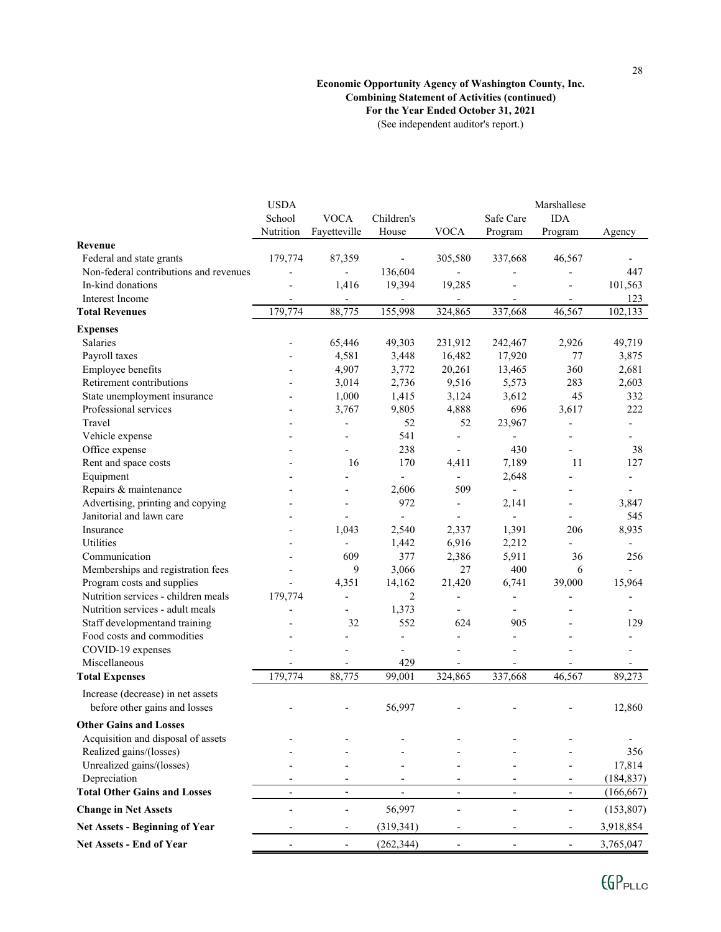### **Economic Opportunity Agency of Washington County, Inc. Combining Statement of Activities (continued) For the Year Ended October 31, 2021**

|                                                                   | <b>USDA</b>              |                          |                          |                          |                          | Marshallese              |                                    |
|-------------------------------------------------------------------|--------------------------|--------------------------|--------------------------|--------------------------|--------------------------|--------------------------|------------------------------------|
|                                                                   | School                   | <b>VOCA</b>              | Children's               |                          | Safe Care                | <b>IDA</b>               |                                    |
|                                                                   | Nutrition                | Fayetteville             | House                    | <b>VOCA</b>              | Program                  | Program                  | Agency                             |
| Revenue                                                           |                          |                          |                          |                          |                          |                          |                                    |
| Federal and state grants                                          | 179,774                  | 87,359                   | $\overline{\phantom{a}}$ | 305,580                  | 337,668                  | 46,567                   |                                    |
| Non-federal contributions and revenues                            |                          |                          | 136,604                  |                          |                          |                          | 447                                |
| In-kind donations                                                 |                          | 1,416                    | 19,394                   | 19,285                   | ٠                        | $\overline{a}$           | 101,563                            |
| Interest Income                                                   |                          | $\overline{\phantom{0}}$ | $\overline{\phantom{a}}$ |                          | $\overline{\phantom{a}}$ | $\overline{\phantom{a}}$ | 123                                |
| <b>Total Revenues</b>                                             | 179,774                  | 88,775                   | 155,998                  | 324,865                  | 337,668                  | 46,567                   | 102,133                            |
| <b>Expenses</b>                                                   |                          |                          |                          |                          |                          |                          |                                    |
| <b>Salaries</b>                                                   |                          | 65,446                   | 49,303                   | 231,912                  | 242,467                  | 2,926                    | 49,719                             |
| Payroll taxes                                                     |                          | 4,581                    | 3,448                    | 16,482                   | 17,920                   | 77                       | 3,875                              |
| Employee benefits                                                 |                          | 4,907                    | 3,772                    | 20,261                   | 13,465                   | 360                      | 2,681                              |
| Retirement contributions                                          |                          | 3,014                    | 2,736                    | 9,516                    | 5,573                    | 283                      | 2,603                              |
| State unemployment insurance                                      |                          | 1,000                    | 1,415                    | 3,124                    | 3,612                    | 45                       | 332                                |
| Professional services                                             |                          | 3,767                    | 9,805                    | 4,888                    | 696                      | 3,617                    | 222                                |
| Travel                                                            |                          |                          | 52                       | 52                       | 23,967                   | $\overline{\phantom{0}}$ | $\overline{\phantom{a}}$           |
| Vehicle expense                                                   |                          |                          | 541                      | $\overline{\phantom{a}}$ |                          | $\overline{a}$           |                                    |
| Office expense                                                    |                          |                          | 238                      |                          | 430                      |                          | 38                                 |
| Rent and space costs                                              |                          | 16                       | 170                      | 4,411                    | 7,189                    | 11                       | 127                                |
| Equipment                                                         |                          |                          | $\blacksquare$           |                          | 2,648                    |                          | $\blacksquare$                     |
| Repairs & maintenance                                             |                          |                          | 2,606                    | 509                      | $\overline{\phantom{a}}$ |                          |                                    |
| Advertising, printing and copying                                 |                          |                          | 972                      | $\overline{\phantom{a}}$ | 2,141                    |                          | 3,847                              |
| Janitorial and lawn care                                          |                          |                          | $\overline{\phantom{a}}$ |                          | $\overline{\phantom{a}}$ |                          | 545                                |
| Insurance                                                         |                          | 1,043                    | 2,540                    | 2,337                    | 1,391                    | 206                      | 8,935                              |
| <b>Utilities</b>                                                  | $\overline{a}$           | $\overline{a}$           | 1,442                    | 6,916                    | 2,212                    | $\overline{a}$           | $\overline{\phantom{a}}$           |
|                                                                   |                          | 609                      | 377                      | 2,386                    |                          | 36                       | 256                                |
| Communication                                                     |                          | 9                        |                          | 27                       | 5,911<br>400             |                          |                                    |
| Memberships and registration fees                                 |                          |                          | 3,066                    |                          |                          | 6                        | $\overline{\phantom{a}}$<br>15,964 |
| Program costs and supplies<br>Nutrition services - children meals |                          | 4,351                    | 14,162                   | 21,420                   | 6,741                    | 39,000                   |                                    |
|                                                                   | 179,774                  | $\overline{\phantom{0}}$ | 2                        | $\overline{\phantom{a}}$ | $\overline{\phantom{0}}$ |                          | $\overline{\phantom{a}}$           |
| Nutrition services - adult meals                                  | $\overline{a}$           | $\overline{a}$           | 1,373                    | $\overline{a}$           | $\blacksquare$           |                          |                                    |
| Staff developmentand training                                     |                          | 32                       | 552                      | 624                      | 905                      |                          | 129                                |
| Food costs and commodities                                        |                          |                          | $\overline{\phantom{a}}$ | $\overline{\phantom{a}}$ | $\overline{a}$           |                          |                                    |
| COVID-19 expenses                                                 |                          |                          | $\overline{\phantom{a}}$ |                          |                          |                          |                                    |
| Miscellaneous                                                     | $\overline{\phantom{a}}$ | $\overline{\phantom{0}}$ | 429                      | $\overline{\phantom{a}}$ | $\overline{\phantom{a}}$ | $\overline{\phantom{a}}$ | $\overline{\phantom{a}}$           |
| <b>Total Expenses</b>                                             | 179,774                  | 88,775                   | 99,001                   | 324,865                  | 337,668                  | 46,567                   | 89,273                             |
| Increase (decrease) in net assets                                 |                          |                          |                          |                          |                          |                          |                                    |
| before other gains and losses                                     |                          |                          | 56,997                   |                          |                          |                          | 12,860                             |
| <b>Other Gains and Losses</b>                                     |                          |                          |                          |                          |                          |                          |                                    |
| Acquisition and disposal of assets                                |                          |                          |                          |                          |                          |                          |                                    |
| Realized gains/(losses)                                           |                          |                          |                          |                          |                          |                          | 356                                |
| Unrealized gains/(losses)                                         |                          |                          |                          |                          |                          |                          | 17,814                             |
| Depreciation                                                      |                          |                          |                          |                          |                          |                          | (184, 837)                         |
| <b>Total Other Gains and Losses</b>                               |                          |                          | $\overline{a}$           |                          |                          | $\frac{1}{2}$            | (166, 667)                         |
| <b>Change in Net Assets</b>                                       | $\overline{a}$           | $\frac{1}{2}$            | 56,997                   | $\overline{\phantom{0}}$ | $\overline{\phantom{0}}$ | $\overline{a}$           | (153, 807)                         |
| <b>Net Assets - Beginning of Year</b>                             |                          | $\overline{\phantom{0}}$ | (319, 341)               |                          |                          |                          | 3,918,854                          |
| Net Assets - End of Year                                          |                          | $\overline{\phantom{0}}$ | (262, 344)               | $\overline{\phantom{a}}$ |                          | $\overline{\phantom{0}}$ | 3,765,047                          |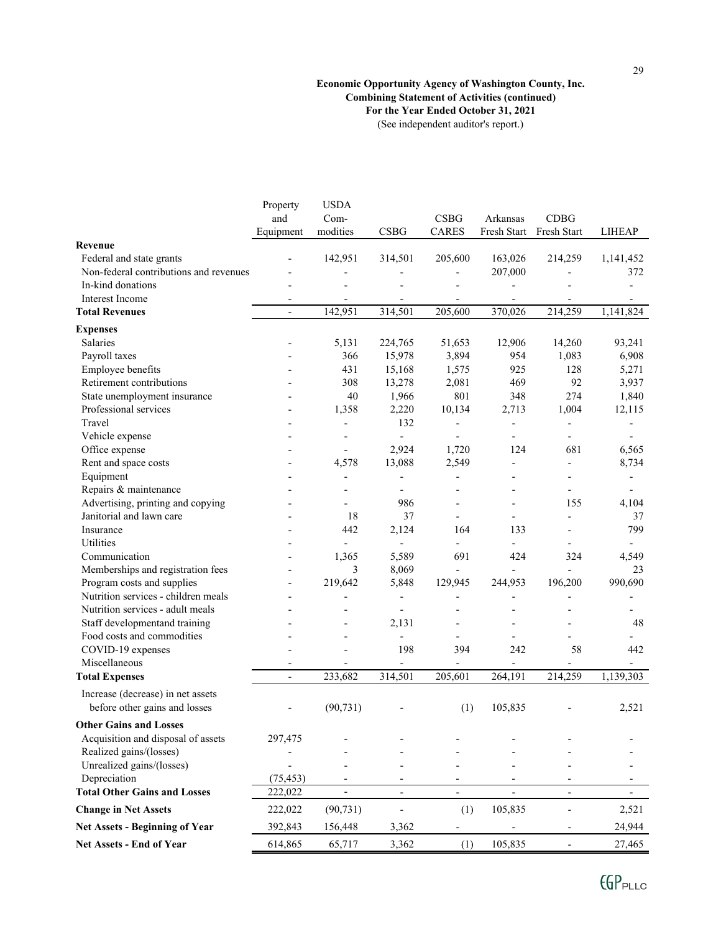### **Economic Opportunity Agency of Washington County, Inc. Combining Statement of Activities (continued) For the Year Ended October 31, 2021**

|                                        | Property                 | <b>USDA</b>              |                          |                          |                          |                          |                          |
|----------------------------------------|--------------------------|--------------------------|--------------------------|--------------------------|--------------------------|--------------------------|--------------------------|
|                                        | and                      | Com-                     |                          | CSBG                     | Arkansas                 | <b>CDBG</b>              |                          |
|                                        | Equipment                | modities                 | <b>CSBG</b>              | <b>CARES</b>             | Fresh Start              | Fresh Start              | <b>LIHEAP</b>            |
| Revenue                                |                          |                          |                          |                          |                          |                          |                          |
| Federal and state grants               |                          | 142,951                  | 314,501                  | 205,600                  | 163,026                  | 214,259                  | 1,141,452                |
| Non-federal contributions and revenues |                          |                          |                          |                          | 207,000                  |                          | 372                      |
| In-kind donations                      |                          |                          |                          |                          |                          |                          |                          |
| Interest Income                        |                          | $\overline{\phantom{a}}$ | $\overline{\phantom{a}}$ | $\overline{\phantom{a}}$ | $\overline{\phantom{0}}$ | $\overline{\phantom{a}}$ | $\overline{\phantom{a}}$ |
| <b>Total Revenues</b>                  | $\overline{\phantom{a}}$ | 142,951                  | 314,501                  | 205,600                  | 370,026                  | 214,259                  | 1,141,824                |
| <b>Expenses</b>                        |                          |                          |                          |                          |                          |                          |                          |
| Salaries                               |                          | 5,131                    | 224,765                  | 51,653                   | 12,906                   | 14,260                   | 93,241                   |
| Payroll taxes                          |                          | 366                      | 15,978                   | 3,894                    | 954                      | 1,083                    | 6,908                    |
| Employee benefits                      |                          | 431                      | 15,168                   | 1,575                    | 925                      | 128                      | 5,271                    |
| Retirement contributions               |                          | 308                      | 13,278                   | 2,081                    | 469                      | 92                       | 3,937                    |
| State unemployment insurance           |                          | 40                       | 1,966                    | 801                      | 348                      | 274                      | 1,840                    |
| Professional services                  |                          | 1,358                    | 2,220                    | 10,134                   | 2,713                    | 1,004                    | 12,115                   |
| Travel                                 |                          |                          | 132                      |                          | L,                       |                          | $\overline{a}$           |
| Vehicle expense                        |                          | Ē,                       | $\overline{a}$           | $\overline{\phantom{a}}$ | $\overline{\phantom{0}}$ | $\overline{a}$           | $\blacksquare$           |
| Office expense                         |                          | $\overline{\phantom{a}}$ | 2,924                    | 1,720                    | 124                      | 681                      | 6,565                    |
| Rent and space costs                   |                          | 4,578                    | 13,088                   | 2,549                    | $\overline{a}$           |                          | 8,734                    |
| Equipment                              |                          | $\overline{a}$           | $\overline{a}$           | $\overline{\phantom{0}}$ | $\overline{a}$           |                          | $\overline{\phantom{0}}$ |
| Repairs & maintenance                  |                          |                          | $\overline{\phantom{0}}$ |                          |                          |                          |                          |
| Advertising, printing and copying      |                          | $\overline{\phantom{a}}$ | 986                      |                          | $\overline{\phantom{0}}$ | 155                      | 4,104                    |
| Janitorial and lawn care               |                          | 18                       | 37                       |                          |                          |                          | 37                       |
| Insurance                              |                          | 442                      | 2,124                    | 164                      | 133                      |                          | 799                      |
| Utilities                              |                          |                          | $\overline{a}$           |                          |                          |                          |                          |
| Communication                          |                          | 1,365                    | 5,589                    | 691                      | 424                      | 324                      | 4,549                    |
| Memberships and registration fees      |                          | 3                        | 8,069                    |                          | $\overline{\phantom{0}}$ |                          | 23                       |
| Program costs and supplies             |                          | 219,642                  | 5,848                    | 129,945                  | 244,953                  | 196,200                  | 990,690                  |
| Nutrition services - children meals    |                          |                          | $\overline{\phantom{0}}$ |                          |                          |                          |                          |
| Nutrition services - adult meals       |                          |                          | $\overline{a}$           |                          |                          |                          |                          |
| Staff developmentand training          |                          |                          | 2,131                    |                          | $\overline{a}$           |                          | 48                       |
| Food costs and commodities             |                          | Ē,                       | $\overline{\phantom{0}}$ | $\overline{\phantom{a}}$ | $\overline{\phantom{0}}$ |                          |                          |
| COVID-19 expenses                      |                          |                          | 198                      | 394                      | 242                      | 58                       | 442                      |
| Miscellaneous                          |                          |                          | $\overline{\phantom{0}}$ |                          | $\frac{1}{2}$            |                          |                          |
| <b>Total Expenses</b>                  | $\overline{a}$           | 233,682                  | 314,501                  | 205,601                  | 264,191                  | 214,259                  | 1,139,303                |
| Increase (decrease) in net assets      |                          |                          |                          |                          |                          |                          |                          |
| before other gains and losses          |                          | (90, 731)                |                          | (1)                      | 105,835                  |                          | 2,521                    |
|                                        |                          |                          |                          |                          |                          |                          |                          |
| <b>Other Gains and Losses</b>          |                          |                          |                          |                          |                          |                          |                          |
| Acquisition and disposal of assets     | 297,475                  |                          |                          |                          |                          |                          |                          |
| Realized gains/(losses)                |                          |                          |                          |                          |                          |                          |                          |
| Unrealized gains/(losses)              |                          |                          |                          |                          |                          |                          |                          |
| Depreciation                           | (75, 453)                |                          |                          |                          |                          |                          |                          |
| <b>Total Other Gains and Losses</b>    | 222,022                  | $\overline{\phantom{a}}$ | $\overline{\phantom{a}}$ | $\overline{\phantom{0}}$ | $\overline{\phantom{a}}$ | $\overline{\phantom{a}}$ |                          |
| <b>Change in Net Assets</b>            | 222,022                  | (90, 731)                |                          | (1)                      | 105,835                  |                          | 2,521                    |
| <b>Net Assets - Beginning of Year</b>  | 392,843                  | 156,448                  | 3,362                    | -                        |                          | $\overline{\phantom{a}}$ | 24,944                   |
| Net Assets - End of Year               | 614,865                  | 65,717                   | 3,362                    | (1)                      | 105,835                  | $\overline{\phantom{a}}$ | 27,465                   |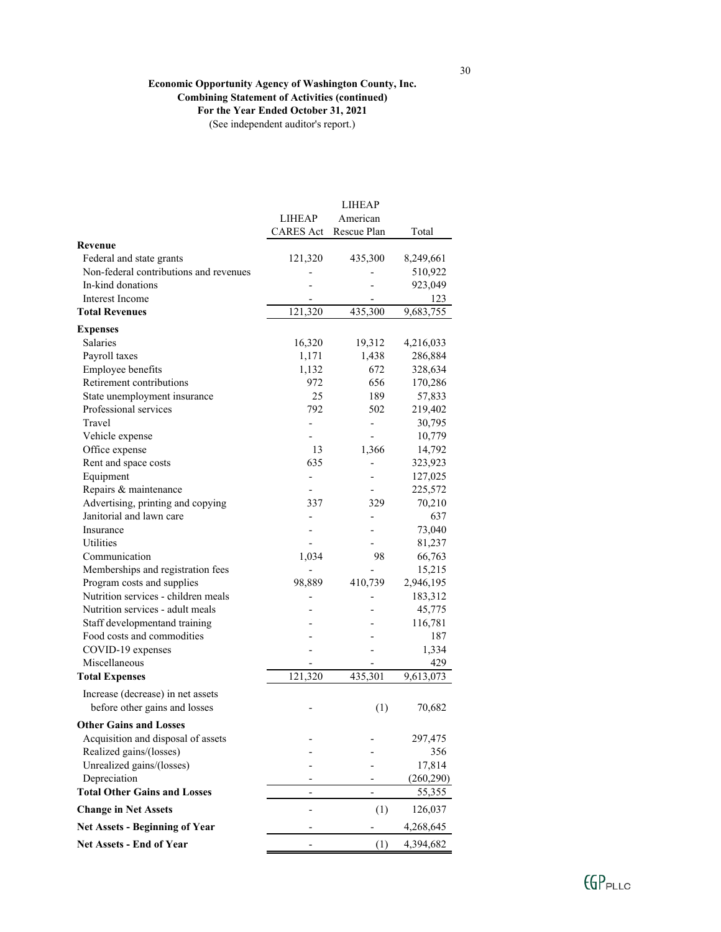30

#### **Economic Opportunity Agency of Washington County, Inc. Combining Statement of Activities (continued) For the Year Ended October 31, 2021**

|                                        |                          | <b>LIHEAP</b>            |            |
|----------------------------------------|--------------------------|--------------------------|------------|
|                                        | <b>LIHEAP</b>            | American                 |            |
|                                        | <b>CARES</b> Act         | Rescue Plan              | Total      |
| Revenue                                |                          |                          |            |
| Federal and state grants               | 121,320                  | 435,300                  | 8,249,661  |
| Non-federal contributions and revenues |                          |                          | 510,922    |
| In-kind donations                      |                          |                          | 923,049    |
| Interest Income                        |                          |                          | 123        |
| <b>Total Revenues</b>                  | 121,320                  | 435,300                  | 9,683,755  |
| <b>Expenses</b>                        |                          |                          |            |
| <b>Salaries</b>                        | 16,320                   | 19,312                   | 4,216,033  |
| Payroll taxes                          | 1,171                    | 1,438                    | 286,884    |
| Employee benefits                      | 1,132                    | 672                      | 328,634    |
| Retirement contributions               | 972                      | 656                      | 170,286    |
| State unemployment insurance           | 25                       | 189                      | 57,833     |
| Professional services                  | 792                      | 502                      | 219,402    |
| Travel                                 | -                        | $\overline{\phantom{0}}$ | 30,795     |
| Vehicle expense                        |                          | $\overline{a}$           | 10,779     |
| Office expense                         | 13                       | 1,366                    | 14,792     |
| Rent and space costs                   | 635                      |                          | 323,923    |
| Equipment                              | $\overline{\phantom{0}}$ |                          | 127,025    |
| Repairs & maintenance                  | $\overline{\phantom{0}}$ |                          | 225,572    |
| Advertising, printing and copying      | 337                      | 329                      | 70,210     |
| Janitorial and lawn care               |                          |                          | 637        |
| Insurance                              |                          |                          | 73,040     |
| Utilities                              |                          |                          | 81,237     |
| Communication                          | 1,034                    | 98                       | 66,763     |
| Memberships and registration fees      |                          |                          | 15,215     |
| Program costs and supplies             | 98,889                   | 410,739                  | 2,946,195  |
| Nutrition services - children meals    |                          |                          | 183,312    |
| Nutrition services - adult meals       |                          |                          | 45,775     |
| Staff developmentand training          |                          |                          | 116,781    |
| Food costs and commodities             |                          |                          | 187        |
| COVID-19 expenses                      |                          |                          | 1,334      |
| Miscellaneous                          |                          |                          | 429        |
| <b>Total Expenses</b>                  | 121,320                  | 435,301                  | 9,613,073  |
| Increase (decrease) in net assets      |                          |                          |            |
| before other gains and losses          |                          | (1)                      | 70,682     |
| <b>Other Gains and Losses</b>          |                          |                          |            |
| Acquisition and disposal of assets     |                          |                          | 297,475    |
| Realized gains/(losses)                |                          |                          | 356        |
| Unrealized gains/(losses)              |                          |                          | 17,814     |
| Depreciation                           |                          |                          | (260, 290) |
| <b>Total Other Gains and Losses</b>    |                          |                          | 55,355     |
| <b>Change in Net Assets</b>            |                          | (1)                      | 126,037    |
| <b>Net Assets - Beginning of Year</b>  |                          |                          | 4,268,645  |
| Net Assets - End of Year               |                          | (1)                      | 4,394,682  |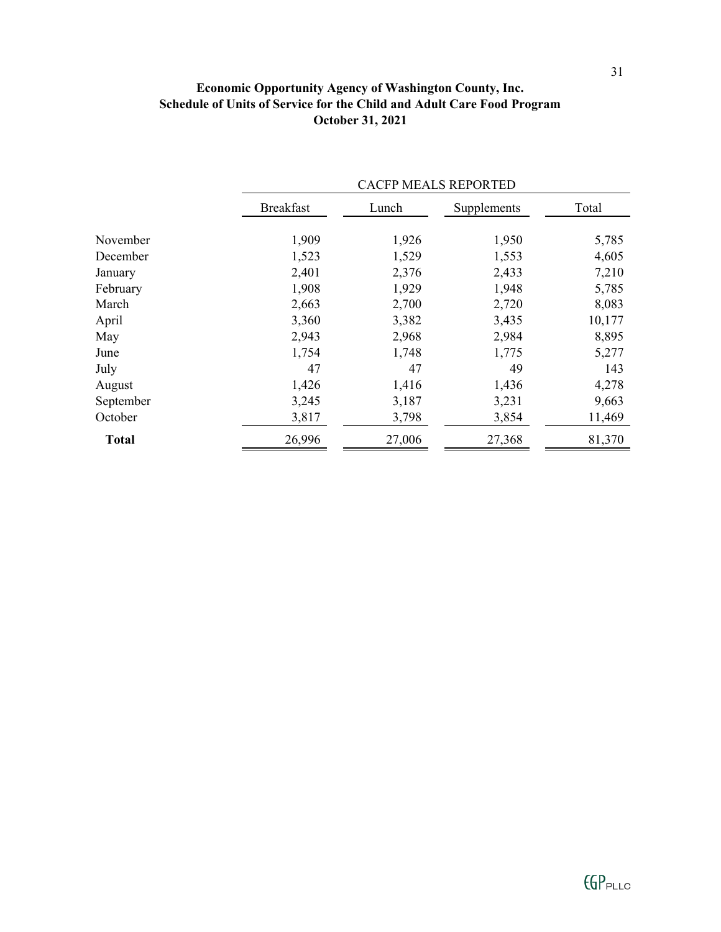## **Economic Opportunity Agency of Washington County, Inc. Schedule of Units of Service for the Child and Adult Care Food Program October 31, 2021**

|              | <b>CACFP MEALS REPORTED</b> |        |             |        |  |  |  |
|--------------|-----------------------------|--------|-------------|--------|--|--|--|
|              | <b>Breakfast</b>            | Lunch  | Supplements | Total  |  |  |  |
| November     | 1,909                       | 1,926  | 1,950       | 5,785  |  |  |  |
| December     | 1,523                       | 1,529  | 1,553       | 4,605  |  |  |  |
| January      | 2,401                       | 2,376  | 2,433       | 7,210  |  |  |  |
| February     | 1,908                       | 1,929  | 1,948       | 5,785  |  |  |  |
| March        | 2,663                       | 2,700  | 2,720       | 8,083  |  |  |  |
| April        | 3,360                       | 3,382  | 3,435       | 10,177 |  |  |  |
| May          | 2,943                       | 2,968  | 2,984       | 8,895  |  |  |  |
| June         | 1,754                       | 1,748  | 1,775       | 5,277  |  |  |  |
| July         | 47                          | 47     | 49          | 143    |  |  |  |
| August       | 1,426                       | 1,416  | 1,436       | 4,278  |  |  |  |
| September    | 3,245                       | 3,187  | 3,231       | 9,663  |  |  |  |
| October      | 3,817                       | 3,798  | 3,854       | 11,469 |  |  |  |
| <b>Total</b> | 26,996                      | 27,006 | 27,368      | 81,370 |  |  |  |